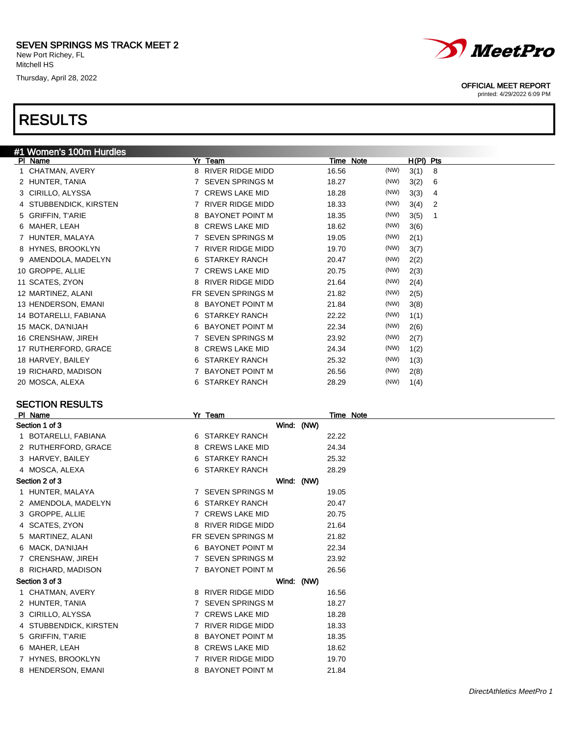Thursday, April 28, 2022

## RESULTS



### SECTION RESULTS

| PI Name                |   | Yr Team                 |            |       | Time Note |
|------------------------|---|-------------------------|------------|-------|-----------|
| Section 1 of 3         |   |                         | Wind: (NW) |       |           |
| 1 BOTARELLI, FABIANA   |   | 6 STARKEY RANCH         |            | 22.22 |           |
| 2 RUTHERFORD, GRACE    | 8 | <b>CREWS LAKE MID</b>   |            | 24.34 |           |
| 3 HARVEY, BAILEY       |   | 6 STARKEY RANCH         |            | 25.32 |           |
| 4 MOSCA, ALEXA         |   | 6 STARKEY RANCH         |            | 28.29 |           |
| Section 2 of 3         |   |                         | Wind: (NW) |       |           |
| 1 HUNTER, MALAYA       |   | 7 SEVEN SPRINGS M       |            | 19.05 |           |
| 2 AMENDOLA, MADELYN    |   | 6 STARKEY RANCH         |            | 20.47 |           |
| 3 GROPPE, ALLIE        |   | 7 CREWS LAKE MID        |            | 20.75 |           |
| 4 SCATES, ZYON         | 8 | <b>RIVER RIDGE MIDD</b> |            | 21.64 |           |
| 5 MARTINEZ, ALANI      |   | FR SEVEN SPRINGS M      |            | 21.82 |           |
| 6 MACK, DA'NIJAH       |   | 6 BAYONET POINT M       |            | 22.34 |           |
| 7 CRENSHAW, JIREH      |   | 7 SEVEN SPRINGS M       |            | 23.92 |           |
| 8 RICHARD, MADISON     |   | 7 BAYONET POINT M       |            | 26.56 |           |
| Section 3 of 3         |   |                         | Wind: (NW) |       |           |
| 1 CHATMAN, AVERY       |   | 8 RIVER RIDGE MIDD      |            | 16.56 |           |
| 2 HUNTER, TANIA        |   | 7 SEVEN SPRINGS M       |            | 18.27 |           |
| 3 CIRILLO, ALYSSA      |   | 7 CREWS LAKE MID        |            | 18.28 |           |
| 4 STUBBENDICK, KIRSTEN |   | 7 RIVER RIDGE MIDD      |            | 18.33 |           |
| 5 GRIFFIN, T'ARIE      | 8 | <b>BAYONET POINT M</b>  |            | 18.35 |           |
| 6 MAHER, LEAH          |   | 8 CREWS LAKE MID        |            | 18.62 |           |
| 7 HYNES, BROOKLYN      |   | RIVER RIDGE MIDD        |            | 19.70 |           |
| 8 HENDERSON, EMANI     | 8 | <b>BAYONET POINT M</b>  |            | 21.84 |           |

#### OFFICIAL MEET REPORT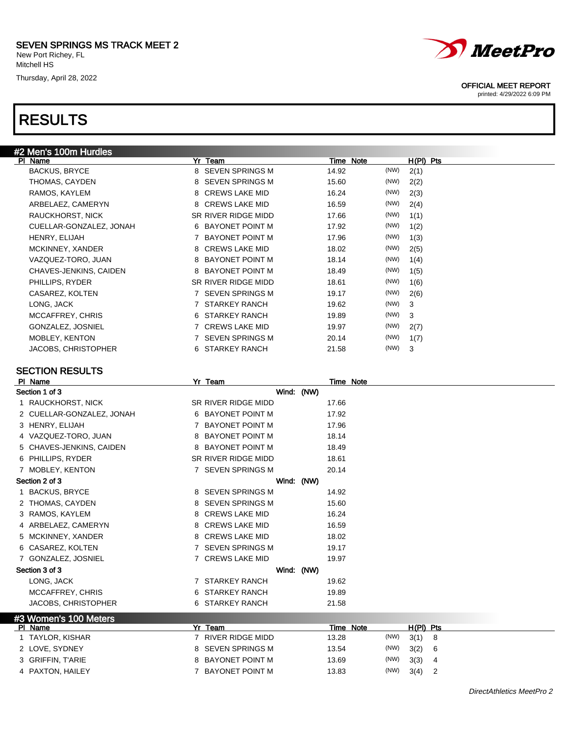### SEVEN SPRINGS MS TRACK MEET 2

New Port Richey, FL Mitchell HS

Thursday, April 28, 2022

### RESULTS



#### SECTION RESULTS

|                | PI Name                    |    | Yr_Team                 |       | Time Note |           |   |  |
|----------------|----------------------------|----|-------------------------|-------|-----------|-----------|---|--|
|                | Section 1 of 3             |    | Wind: (NW)              |       |           |           |   |  |
| $\overline{1}$ | RAUCKHORST, NICK           |    | SR RIVER RIDGE MIDD     | 17.66 |           |           |   |  |
|                | 2 CUELLAR-GONZALEZ, JONAH  |    | 6 BAYONET POINT M       | 17.92 |           |           |   |  |
|                | 3 HENRY, ELIJAH            | 7  | <b>BAYONET POINT M</b>  | 17.96 |           |           |   |  |
|                | 4 VAZQUEZ-TORO, JUAN       | 8  | <b>BAYONET POINT M</b>  | 18.14 |           |           |   |  |
|                | 5 CHAVES-JENKINS, CAIDEN   | 8  | <b>BAYONET POINT M</b>  | 18.49 |           |           |   |  |
|                | 6 PHILLIPS, RYDER          |    | SR RIVER RIDGE MIDD     | 18.61 |           |           |   |  |
|                | 7 MOBLEY, KENTON           |    | 7 SEVEN SPRINGS M       | 20.14 |           |           |   |  |
|                | Section 2 of 3             |    | Wind: (NW)              |       |           |           |   |  |
|                | <b>BACKUS, BRYCE</b>       |    | 8 SEVEN SPRINGS M       | 14.92 |           |           |   |  |
|                | 2 THOMAS, CAYDEN           | 8  | <b>SEVEN SPRINGS M</b>  | 15.60 |           |           |   |  |
|                | 3 RAMOS, KAYLEM            | 8  | <b>CREWS LAKE MID</b>   | 16.24 |           |           |   |  |
|                | 4 ARBELAEZ, CAMERYN        | 8  | <b>CREWS LAKE MID</b>   | 16.59 |           |           |   |  |
|                | 5 MCKINNEY, XANDER         |    | 8 CREWS LAKE MID        | 18.02 |           |           |   |  |
|                | 6 CASAREZ, KOLTEN          | 7  | <b>SEVEN SPRINGS M</b>  | 19.17 |           |           |   |  |
|                | 7 GONZALEZ, JOSNIEL        | 7  | <b>CREWS LAKE MID</b>   | 19.97 |           |           |   |  |
|                | Section 3 of 3             |    | Wind: (NW)              |       |           |           |   |  |
|                | LONG, JACK                 |    | 7 STARKEY RANCH         | 19.62 |           |           |   |  |
|                | MCCAFFREY, CHRIS           | 6. | STARKEY RANCH           | 19.89 |           |           |   |  |
|                | <b>JACOBS, CHRISTOPHER</b> | 6. | <b>STARKEY RANCH</b>    | 21.58 |           |           |   |  |
|                | #3 Women's 100 Meters      |    |                         |       |           |           |   |  |
|                | PI Name                    |    | Yr Team                 |       | Time Note | H(PI) Pts |   |  |
|                | 1 TAYLOR, KISHAR           |    | <b>RIVER RIDGE MIDD</b> | 13.28 | (NW)      | 3(1)      | 8 |  |
|                | 2 LOVE, SYDNEY             | 8  | <b>SEVEN SPRINGS M</b>  | 13.54 | (NW)      | 3(2)      | 6 |  |
|                | 3 GRIFFIN, T'ARIE          | 8  | <b>BAYONET POINT M</b>  | 13.69 | (NW)      | 3(3)      | 4 |  |
|                | 4 PAXTON, HAILEY           | 7  | <b>BAYONET POINT M</b>  | 13.83 | (NW)      | 3(4)      | 2 |  |
|                |                            |    |                         |       |           |           |   |  |



#### OFFICIAL MEET REPORT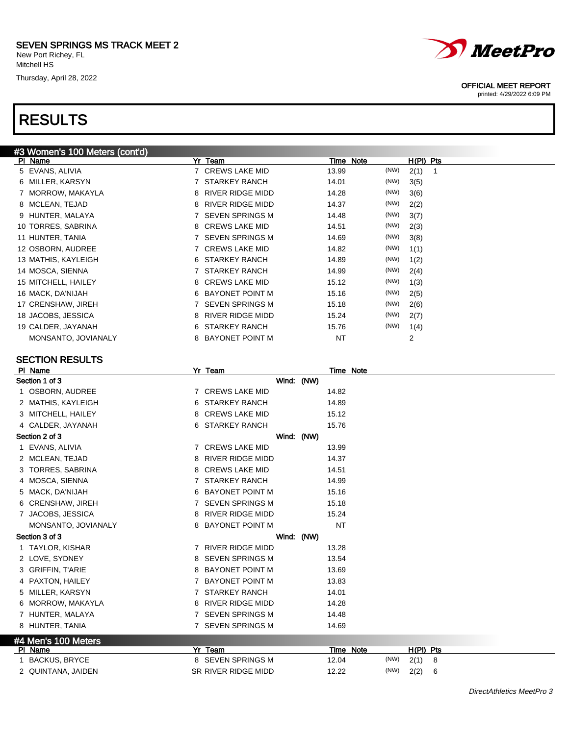## RESULTS



#### SECTION RESULTS

| PI Name             |   | Yr Team                 |            | <b>Time Note</b> |      |           |   |  |  |
|---------------------|---|-------------------------|------------|------------------|------|-----------|---|--|--|
| Section 1 of 3      |   |                         | Wind: (NW) |                  |      |           |   |  |  |
| 1 OSBORN, AUDREE    |   | 7 CREWS LAKE MID        |            | 14.82            |      |           |   |  |  |
| 2 MATHIS, KAYLEIGH  |   | 6 STARKEY RANCH         |            | 14.89            |      |           |   |  |  |
| 3 MITCHELL, HAILEY  |   | 8 CREWS LAKE MID        |            | 15.12            |      |           |   |  |  |
| 4 CALDER, JAYANAH   |   | 6 STARKEY RANCH         |            | 15.76            |      |           |   |  |  |
| Section 2 of 3      |   |                         | Wind: (NW) |                  |      |           |   |  |  |
| 1 EVANS, ALIVIA     |   | 7 CREWS LAKE MID        |            | 13.99            |      |           |   |  |  |
| 2 MCLEAN, TEJAD     | 8 | <b>RIVER RIDGE MIDD</b> |            | 14.37            |      |           |   |  |  |
| 3 TORRES, SABRINA   | 8 | <b>CREWS LAKE MID</b>   |            | 14.51            |      |           |   |  |  |
| 4 MOSCA, SIENNA     | 7 | <b>STARKEY RANCH</b>    |            | 14.99            |      |           |   |  |  |
| 5 MACK, DA'NIJAH    | 6 | <b>BAYONET POINT M</b>  |            | 15.16            |      |           |   |  |  |
| 6 CRENSHAW, JIREH   | 7 | <b>SEVEN SPRINGS M</b>  |            | 15.18            |      |           |   |  |  |
| 7 JACOBS, JESSICA   |   | 8 RIVER RIDGE MIDD      |            | 15.24            |      |           |   |  |  |
| MONSANTO, JOVIANALY | 8 | <b>BAYONET POINT M</b>  |            | <b>NT</b>        |      |           |   |  |  |
| Section 3 of 3      |   |                         | Wind: (NW) |                  |      |           |   |  |  |
| 1 TAYLOR, KISHAR    | 7 | RIVER RIDGE MIDD        |            | 13.28            |      |           |   |  |  |
| 2 LOVE, SYDNEY      | 8 | <b>SEVEN SPRINGS M</b>  |            | 13.54            |      |           |   |  |  |
| 3 GRIFFIN, T'ARIE   |   | 8 BAYONET POINT M       |            | 13.69            |      |           |   |  |  |
| 4 PAXTON, HAILEY    | 7 | <b>BAYONET POINT M</b>  |            | 13.83            |      |           |   |  |  |
| 5 MILLER, KARSYN    | 7 | <b>STARKEY RANCH</b>    |            | 14.01            |      |           |   |  |  |
| 6 MORROW, MAKAYLA   |   | 8 RIVER RIDGE MIDD      |            | 14.28            |      |           |   |  |  |
| 7 HUNTER, MALAYA    |   | 7 SEVEN SPRINGS M       |            | 14.48            |      |           |   |  |  |
| 8 HUNTER, TANIA     |   | 7 SEVEN SPRINGS M       |            | 14.69            |      |           |   |  |  |
| #4 Men's 100 Meters |   |                         |            |                  |      |           |   |  |  |
| PI Name             |   | Yr Team                 |            | Time Note        |      | H(PI) Pts |   |  |  |
| 1 BACKUS, BRYCE     |   | 8 SEVEN SPRINGS M       |            | 12.04            | (NW) | 2(1)      | 8 |  |  |
| 2 QUINTANA, JAIDEN  |   | SR RIVER RIDGE MIDD     |            | 12.22            | (NW) | 2(2)      | 6 |  |  |



#### OFFICIAL MEET REPORT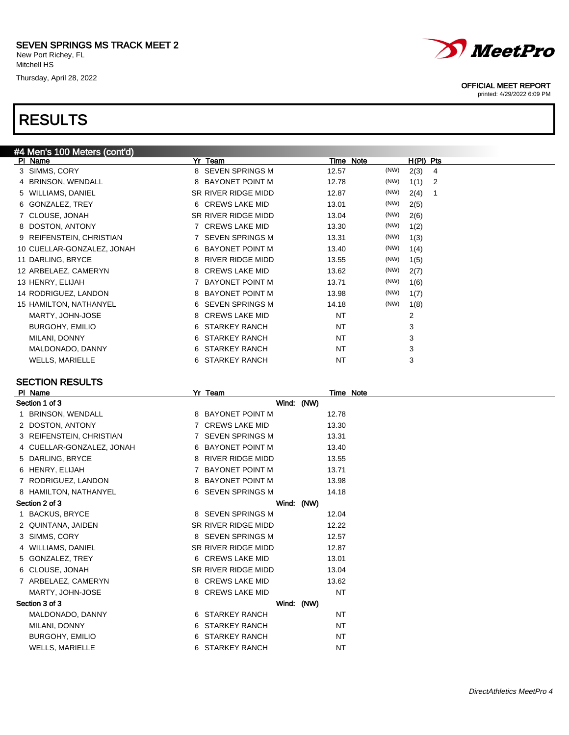Thursday, April 28, 2022

## RESULTS



| 5 VVILLIAMS, DANIEL        | SK KIVER KIDGE MIDD | 12.87 | (1111)<br>2(4) |  |
|----------------------------|---------------------|-------|----------------|--|
| 6 GONZALEZ, TREY           | 6 CREWS LAKE MID    | 13.01 | (NW)<br>2(5)   |  |
| 7 CLOUSE, JONAH            | SR RIVER RIDGE MIDD | 13.04 | (NW)<br>2(6)   |  |
| 8 DOSTON, ANTONY           | 7 CREWS LAKE MID    | 13.30 | (NW)<br>1(2)   |  |
| 9 REIFENSTEIN, CHRISTIAN   | 7 SEVEN SPRINGS M   | 13.31 | (NW)<br>1(3)   |  |
| 10 CUELLAR-GONZALEZ, JONAH | 6 BAYONET POINT M   | 13.40 | (NW)<br>1(4)   |  |
| 11 DARLING, BRYCE          | 8 RIVER RIDGE MIDD  | 13.55 | (NW)<br>1(5)   |  |
| 12 ARBELAEZ, CAMERYN       | 8 CREWS LAKE MID    | 13.62 | (NW)<br>2(7)   |  |
| 13 HENRY, ELIJAH           | 7 BAYONET POINT M   | 13.71 | (NW)<br>1(6)   |  |
| 14 RODRIGUEZ, LANDON       | 8 BAYONET POINT M   | 13.98 | (NW)<br>1(7)   |  |
| 15 HAMILTON, NATHANYEL     | 6 SEVEN SPRINGS M   | 14.18 | (NW)<br>1(8)   |  |
| MARTY, JOHN-JOSE           | 8 CREWS LAKE MID    | NT    | 2              |  |
| <b>BURGOHY, EMILIO</b>     | 6 STARKEY RANCH     | NT    | 3              |  |
| MILANI, DONNY              | 6 STARKEY RANCH     | NT    | 3              |  |
| MALDONADO, DANNY           | STARKEY RANCH<br>6  | NT    | 3              |  |
| <b>WELLS, MARIELLE</b>     | 6 STARKEY RANCH     | NT    | 3              |  |

#### SECTION RESULTS

| PI Name                   | Yr Team             |            |           | Time Note |
|---------------------------|---------------------|------------|-----------|-----------|
| Section 1 of 3            | Wind: (NW)          |            |           |           |
| 1 BRINSON, WENDALL        | 8 BAYONET POINT M   |            | 12.78     |           |
| 2 DOSTON, ANTONY          | 7 CREWS LAKE MID    |            | 13.30     |           |
| 3 REIFENSTEIN, CHRISTIAN  | 7 SEVEN SPRINGS M   |            | 13.31     |           |
| 4 CUELLAR-GONZALEZ, JONAH | 6 BAYONET POINT M   |            | 13.40     |           |
| 5 DARLING, BRYCE          | 8 RIVER RIDGE MIDD  |            | 13.55     |           |
| 6 HENRY, ELIJAH           | 7 BAYONET POINT M   |            | 13.71     |           |
| 7 RODRIGUEZ, LANDON       | 8 BAYONET POINT M   |            | 13.98     |           |
| 8 HAMILTON, NATHANYEL     | 6 SEVEN SPRINGS M   |            | 14.18     |           |
| Section 2 of 3            | Wind: (NW)          |            |           |           |
| 1 BACKUS, BRYCE           | 8 SEVEN SPRINGS M   |            | 12.04     |           |
| 2 QUINTANA, JAIDEN        | SR RIVER RIDGE MIDD |            | 12.22     |           |
| 3 SIMMS, CORY             | 8 SEVEN SPRINGS M   |            | 12.57     |           |
| 4 WILLIAMS, DANIEL        | SR RIVER RIDGE MIDD |            | 12.87     |           |
| 5 GONZALEZ, TREY          | 6 CREWS LAKE MID    |            | 13.01     |           |
| 6 CLOUSE, JONAH           | SR RIVER RIDGE MIDD |            | 13.04     |           |
| 7 ARBELAEZ, CAMERYN       | 8 CREWS LAKE MID    |            | 13.62     |           |
| MARTY, JOHN-JOSE          | 8 CREWS LAKE MID    |            | <b>NT</b> |           |
| Section 3 of 3            |                     | Wind: (NW) |           |           |
| MALDONADO, DANNY          | 6 STARKEY RANCH     |            | <b>NT</b> |           |
| MILANI, DONNY             | 6 STARKEY RANCH     |            | NT        |           |
| <b>BURGOHY, EMILIO</b>    | 6 STARKEY RANCH     |            | <b>NT</b> |           |
| <b>WELLS, MARIELLE</b>    | 6 STARKEY RANCH     |            | <b>NT</b> |           |



#### OFFICIAL MEET REPORT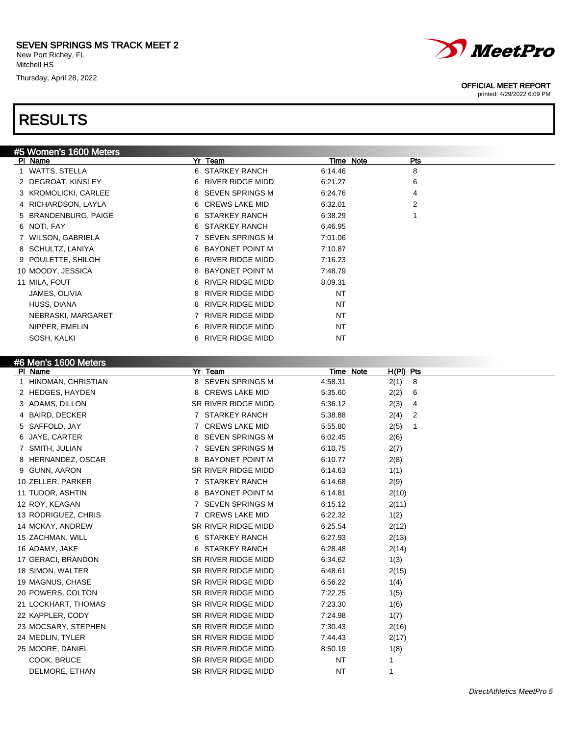Thursday, April 28, 2022

## RESULTS



#### OFFICIAL MEET REPORT

printed: 4/29/2022 6:09 PM

| #5 Women's 1600 Meters |                       |           |                |
|------------------------|-----------------------|-----------|----------------|
| PI Name                | Yr Team               | Time Note | Pts            |
| 1 WATTS, STELLA        | 6 STARKEY RANCH       | 6:14.46   | 8              |
| 2 DEGROAT, KINSLEY     | 6 RIVER RIDGE MIDD    | 6:21.27   | 6              |
| 3 KROMOLICKI, CARLEE   | 8 SEVEN SPRINGS M     | 6:24.76   | 4              |
| 4 RICHARDSON, LAYLA    | 6 CREWS LAKE MID      | 6:32.01   | $\overline{2}$ |
| 5 BRANDENBURG, PAIGE   | 6 STARKEY RANCH       | 6:38.29   |                |
| 6 NOTI, FAY            | 6 STARKEY RANCH       | 6:46.95   |                |
| 7 WILSON, GABRIELA     | 7 SEVEN SPRINGS M     | 7:01.06   |                |
| 8 SCHULTZ, LANIYA      | 6 BAYONET POINT M     | 7:10.87   |                |
| 9 POULETTE, SHILOH     | 6 RIVER RIDGE MIDD    | 7:16.23   |                |
| 10 MOODY, JESSICA      | 8 BAYONET POINT M     | 7:48.79   |                |
| 11 MILA, FOUT          | 6 RIVER RIDGE MIDD    | 8:09.31   |                |
| JAMES, OLIVIA          | 8 RIVER RIDGE MIDD    | <b>NT</b> |                |
| HUSS, DIANA            | 8 RIVER RIDGE MIDD    | NT        |                |
| NEBRASKI, MARGARET     | 7 RIVER RIDGE MIDD    | NT        |                |
| NIPPER, EMELIN         | 6 RIVER RIDGE MIDD    | NT        |                |
| SOSH, KALKI            | RIVER RIDGE MIDD<br>8 | <b>NT</b> |                |
|                        |                       |           |                |

### #6 Men's 1600 Meters

| PI Name               | Yr Team             | Time Note | $H(PI)$ Pts |
|-----------------------|---------------------|-----------|-------------|
| 1 HINDMAN, CHRISTIAN  | 8 SEVEN SPRINGS M   | 4:58.31   | 2(1)<br>8   |
| 2 HEDGES, HAYDEN      | 8 CREWS LAKE MID    | 5:35.60   | 2(2)<br>6   |
| 3 ADAMS, DILLON       | SR RIVER RIDGE MIDD | 5:36.12   | 2(3)<br>4   |
| <b>BAIRD, DECKER</b>  | 7 STARKEY RANCH     | 5:38.88   | 2(4)<br>2   |
| SAFFOLD, JAY<br>5     | 7 CREWS LAKE MID    | 5:55.80   | 2(5)<br>1   |
| JAYE, CARTER<br>6     | 8 SEVEN SPRINGS M   | 6:02.45   | 2(6)        |
| SMITH, JULIAN         | 7 SEVEN SPRINGS M   | 6:10.75   | 2(7)        |
| HERNANDEZ, OSCAR<br>8 | 8 BAYONET POINT M   | 6:10.77   | 2(8)        |
| GUNN, AARON<br>9      | SR RIVER RIDGE MIDD | 6:14.63   | 1(1)        |
| 10 ZELLER, PARKER     | 7 STARKEY RANCH     | 6:14.68   | 2(9)        |
| 11 TUDOR, ASHTIN      | 8 BAYONET POINT M   | 6:14.81   | 2(10)       |
| 12 ROY, KEAGAN        | 7 SEVEN SPRINGS M   | 6:15.12   | 2(11)       |
| 13 RODRIGUEZ, CHRIS   | 7 CREWS LAKE MID    | 6:22.32   | 1(2)        |
| 14 MCKAY, ANDREW      | SR RIVER RIDGE MIDD | 6:25.54   | 2(12)       |
| 15 ZACHMAN, WILL      | 6 STARKEY RANCH     | 6:27.93   | 2(13)       |
| 16 ADAMY, JAKE        | 6 STARKEY RANCH     | 6:28.48   | 2(14)       |
| 17 GERACI, BRANDON    | SR RIVER RIDGE MIDD | 6:34.62   | 1(3)        |
| 18 SIMON, WALTER      | SR RIVER RIDGE MIDD | 6:48.61   | 2(15)       |
| 19 MAGNUS, CHASE      | SR RIVER RIDGE MIDD | 6:56.22   | 1(4)        |
| 20 POWERS, COLTON     | SR RIVER RIDGE MIDD | 7:22.25   | 1(5)        |
| 21 LOCKHART, THOMAS   | SR RIVER RIDGE MIDD | 7:23.30   | 1(6)        |
| 22 KAPPLER, CODY      | SR RIVER RIDGE MIDD | 7:24.98   | 1(7)        |
| 23 MOCSARY, STEPHEN   | SR RIVER RIDGE MIDD | 7:30.43   | 2(16)       |
| 24 MEDLIN, TYLER      | SR RIVER RIDGE MIDD | 7:44.43   | 2(17)       |
| 25 MOORE, DANIEL      | SR RIVER RIDGE MIDD | 8:50.19   | 1(8)        |
| COOK, BRUCE           | SR RIVER RIDGE MIDD | <b>NT</b> | 1           |
| DELMORE, ETHAN        | SR RIVER RIDGE MIDD | NT        |             |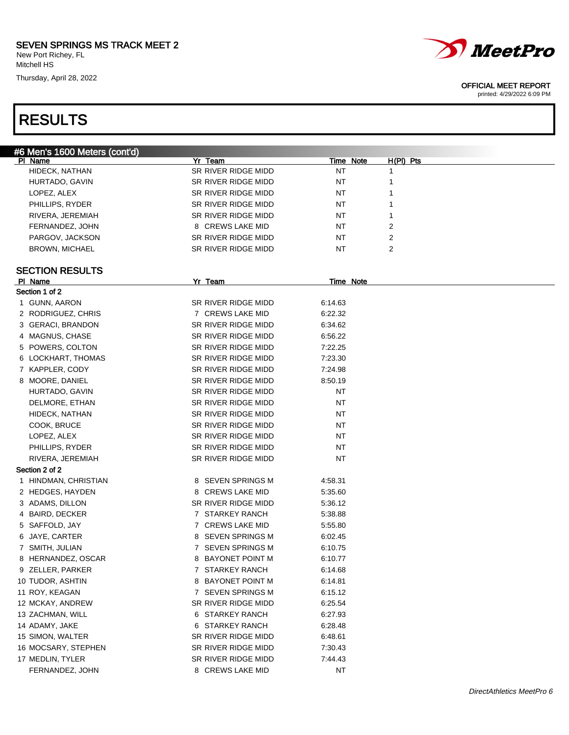Thursday, April 28, 2022

# RESULTS



#### OFFICIAL MEET REPORT

| #6 Men's 1600 Meters (cont'd) |                     |                  |             |
|-------------------------------|---------------------|------------------|-------------|
| PI Name                       | Yr Team             | <b>Time Note</b> | $H(PI)$ Pts |
| HIDECK, NATHAN                | SR RIVER RIDGE MIDD | ΝT               | 1           |
| HURTADO, GAVIN                | SR RIVER RIDGE MIDD | ΝT               | 1           |
| LOPEZ, ALEX                   | SR RIVER RIDGE MIDD | ΝT               | 1           |
| PHILLIPS, RYDER               | SR RIVER RIDGE MIDD | ΝT               | 1           |
| RIVERA, JEREMIAH              | SR RIVER RIDGE MIDD | ΝT               | 1           |
| FERNANDEZ, JOHN               | 8 CREWS LAKE MID    | ΝT               | 2           |
| PARGOV, JACKSON               | SR RIVER RIDGE MIDD | NT               | 2           |
| <b>BROWN, MICHAEL</b>         | SR RIVER RIDGE MIDD | NT               | 2           |
|                               |                     |                  |             |
| <b>SECTION RESULTS</b>        |                     |                  |             |
| PI Name                       | Yr Team             | Time Note        |             |
| Section 1 of 2                |                     |                  |             |
| 1 GUNN, AARON                 | SR RIVER RIDGE MIDD | 6:14.63          |             |
| 2 RODRIGUEZ, CHRIS            | 7 CREWS LAKE MID    | 6:22.32          |             |
| 3 GERACI, BRANDON             | SR RIVER RIDGE MIDD | 6:34.62          |             |
| 4 MAGNUS, CHASE               | SR RIVER RIDGE MIDD | 6:56.22          |             |
| 5 POWERS, COLTON              | SR RIVER RIDGE MIDD | 7:22.25          |             |
| 6 LOCKHART, THOMAS            | SR RIVER RIDGE MIDD | 7:23.30          |             |
| 7 KAPPLER, CODY               | SR RIVER RIDGE MIDD | 7:24.98          |             |
| 8 MOORE, DANIEL               | SR RIVER RIDGE MIDD | 8:50.19          |             |
| HURTADO, GAVIN                | SR RIVER RIDGE MIDD | ΝT               |             |
| DELMORE, ETHAN                | SR RIVER RIDGE MIDD | ΝT               |             |
| HIDECK, NATHAN                | SR RIVER RIDGE MIDD | ΝT               |             |
| COOK, BRUCE                   | SR RIVER RIDGE MIDD | ΝT               |             |
| LOPEZ, ALEX                   | SR RIVER RIDGE MIDD | ΝT               |             |
| PHILLIPS, RYDER               | SR RIVER RIDGE MIDD | ΝT               |             |
| RIVERA, JEREMIAH              | SR RIVER RIDGE MIDD | NT               |             |
| Section 2 of 2                |                     |                  |             |
| 1 HINDMAN, CHRISTIAN          | 8 SEVEN SPRINGS M   | 4:58.31          |             |
| 2 HEDGES, HAYDEN              | 8 CREWS LAKE MID    | 5:35.60          |             |
| 3 ADAMS, DILLON               | SR RIVER RIDGE MIDD | 5:36.12          |             |
| 4 BAIRD, DECKER               | 7 STARKEY RANCH     | 5:38.88          |             |
| 5 SAFFOLD, JAY                | 7 CREWS LAKE MID    | 5:55.80          |             |
|                               |                     |                  |             |
| 6 JAYE, CARTER                | 8 SEVEN SPRINGS M   | 6:02.45          |             |
| 7 SMITH, JULIAN               | 7 SEVEN SPRINGS M   | 6:10.75          |             |
| 8 HERNANDEZ, OSCAR            | 8 BAYONET POINT M   | 6:10.77          |             |
| 9 ZELLER, PARKER              | 7 STARKEY RANCH     | 6:14.68          |             |
| 10 TUDOR, ASHTIN              | 8 BAYONET POINT M   | 6:14.81          |             |
| 11 ROY, KEAGAN                | 7 SEVEN SPRINGS M   | 6:15.12          |             |
| 12 MCKAY, ANDREW              | SR RIVER RIDGE MIDD | 6:25.54          |             |
| 13 ZACHMAN, WILL              | 6 STARKEY RANCH     | 6:27.93          |             |
| 14 ADAMY, JAKE                | 6 STARKEY RANCH     | 6:28.48          |             |
| 15 SIMON, WALTER              | SR RIVER RIDGE MIDD | 6:48.61          |             |
| 16 MOCSARY, STEPHEN           | SR RIVER RIDGE MIDD | 7:30.43          |             |
| 17 MEDLIN, TYLER              | SR RIVER RIDGE MIDD | 7:44.43          |             |
| FERNANDEZ, JOHN               | 8 CREWS LAKE MID    | <b>NT</b>        |             |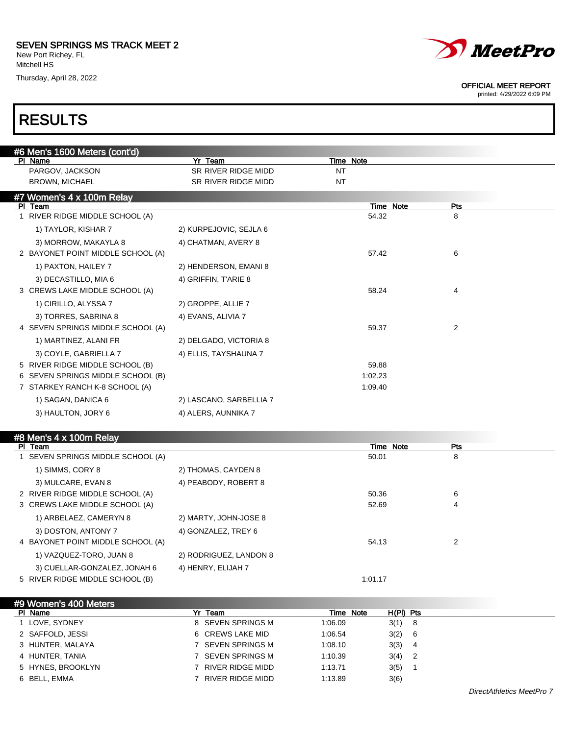### SEVEN SPRINGS MS TRACK MEET 2

New Port Richey, FL Mitchell HS

Thursday, April 28, 2022



#### OFFICIAL MEET REPORT

printed: 4/29/2022 6:09 PM

### RESULTS

| #6 Men's 1600 Meters (cont'd)     |                         |           |                  |  |
|-----------------------------------|-------------------------|-----------|------------------|--|
| PI Name                           | Yr Team                 | Time Note |                  |  |
| PARGOV, JACKSON                   | SR RIVER RIDGE MIDD     | <b>NT</b> |                  |  |
| <b>BROWN, MICHAEL</b>             | SR RIVER RIDGE MIDD     | <b>NT</b> |                  |  |
| #7 Women's 4 x 100m Relay         |                         |           |                  |  |
| PI Team                           |                         |           | Time Note<br>Pts |  |
| 1 RIVER RIDGE MIDDLE SCHOOL (A)   |                         | 54.32     | 8                |  |
| 1) TAYLOR, KISHAR 7               | 2) KURPEJOVIC, SEJLA 6  |           |                  |  |
| 3) MORROW, MAKAYLA 8              | 4) CHATMAN, AVERY 8     |           |                  |  |
| 2 BAYONET POINT MIDDLE SCHOOL (A) |                         | 57.42     | 6                |  |
| 1) PAXTON, HAILEY 7               | 2) HENDERSON, EMANI 8   |           |                  |  |
| 3) DECASTILLO, MIA 6              | 4) GRIFFIN, TARIE 8     |           |                  |  |
| 3 CREWS LAKE MIDDLE SCHOOL (A)    |                         | 58.24     | 4                |  |
| 1) CIRILLO, ALYSSA 7              | 2) GROPPE, ALLIE 7      |           |                  |  |
| 3) TORRES, SABRINA 8              | 4) EVANS, ALIVIA 7      |           |                  |  |
| 4 SEVEN SPRINGS MIDDLE SCHOOL (A) |                         | 59.37     | 2                |  |
| 1) MARTINEZ, ALANI FR             | 2) DELGADO, VICTORIA 8  |           |                  |  |
| 3) COYLE, GABRIELLA 7             | 4) ELLIS, TAYSHAUNA 7   |           |                  |  |
| 5 RIVER RIDGE MIDDLE SCHOOL (B)   |                         | 59.88     |                  |  |
| 6 SEVEN SPRINGS MIDDLE SCHOOL (B) |                         | 1:02.23   |                  |  |
| 7 STARKEY RANCH K-8 SCHOOL (A)    |                         | 1:09.40   |                  |  |
| 1) SAGAN, DANICA 6                | 2) LASCANO, SARBELLIA 7 |           |                  |  |
| 3) HAULTON, JORY 6                | 4) ALERS, AUNNIKA 7     |           |                  |  |
|                                   |                         |           |                  |  |

### #8 Men's 4 x 100m Relay

| Team<br><b>PI</b>                 |                        |         | Time Note<br>Pts |  |
|-----------------------------------|------------------------|---------|------------------|--|
| SEVEN SPRINGS MIDDLE SCHOOL (A)   |                        | 50.01   | 8                |  |
| 1) SIMMS, CORY 8                  | 2) THOMAS, CAYDEN 8    |         |                  |  |
| 3) MULCARE, EVAN 8                | 4) PEABODY, ROBERT 8   |         |                  |  |
| 2 RIVER RIDGE MIDDLE SCHOOL (A)   |                        | 50.36   | 6                |  |
| 3 CREWS LAKE MIDDLE SCHOOL (A)    |                        | 52.69   | 4                |  |
| 1) ARBELAEZ, CAMERYN 8            | 2) MARTY, JOHN-JOSE 8  |         |                  |  |
| 3) DOSTON, ANTONY 7               | 4) GONZALEZ, TREY 6    |         |                  |  |
| 4 BAYONET POINT MIDDLE SCHOOL (A) |                        | 54.13   | 2                |  |
| 1) VAZQUEZ-TORO, JUAN 8           | 2) RODRIGUEZ, LANDON 8 |         |                  |  |
| 3) CUELLAR-GONZALEZ, JONAH 6      | 4) HENRY, ELIJAH 7     |         |                  |  |
| 5 RIVER RIDGE MIDDLE SCHOOL (B)   |                        | 1:01.17 |                  |  |
|                                   |                        |         |                  |  |

#9 Women's 400 Meters<br>PL Name Purificant Time Note H(PI) Pts 1 LOVE, SYDNEY 6 8 SEVEN SPRINGS M 1:06.09 3(1) 8 2 SAFFOLD, JESSI 6 CREWS LAKE MID 1:06.54 3(2) 6 3 HUNTER, MALAYA 7 SEVEN SPRINGS M 1:08.10 3(3) 4 4 HUNTER, TANIA 7 SEVEN SPRINGS M 1:10.39 3(4) 2 5 HYNES, BROOKLYN 7 RIVER RIDGE MIDD 1:13.71 3(5) 1 6 BELL, EMMA 7 RIVER RIDGE MIDD 1:13.89 3(6)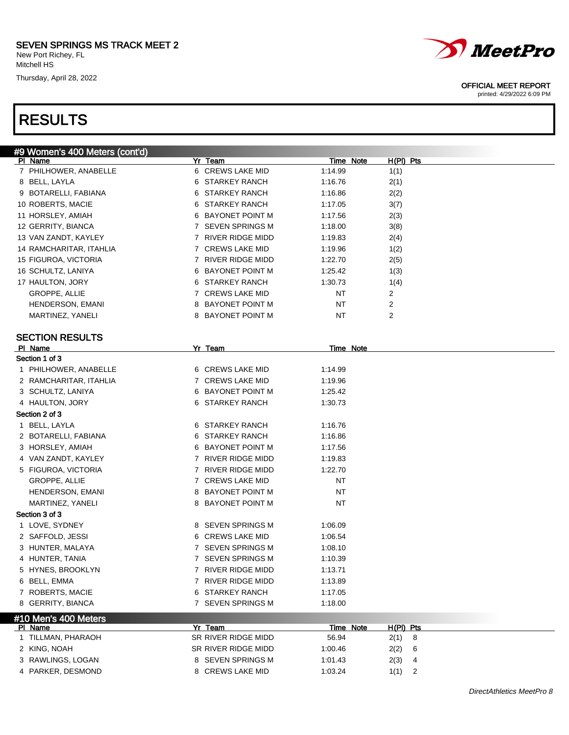### SEVEN SPRINGS MS TRACK MEET 2

New Port Richey, FL Mitchell HS

Thursday, April 28, 2022

### RESULTS

#9 Women's 400 Meters (cont'd)



Pl Name Yr Team Time Note H(Pl) Pts 7 PHILHOWER, ANABELLE 6 CREWS LAKE MID 1:14.99 1(1) 8 BELL, LAYLA 6 STARKEY RANCH 1:16.76 2(1) 9 BOTARELLI, FABIANA 6 STARKEY RANCH 1:16.86 2(2)



#### OFFICIAL MEET REPORT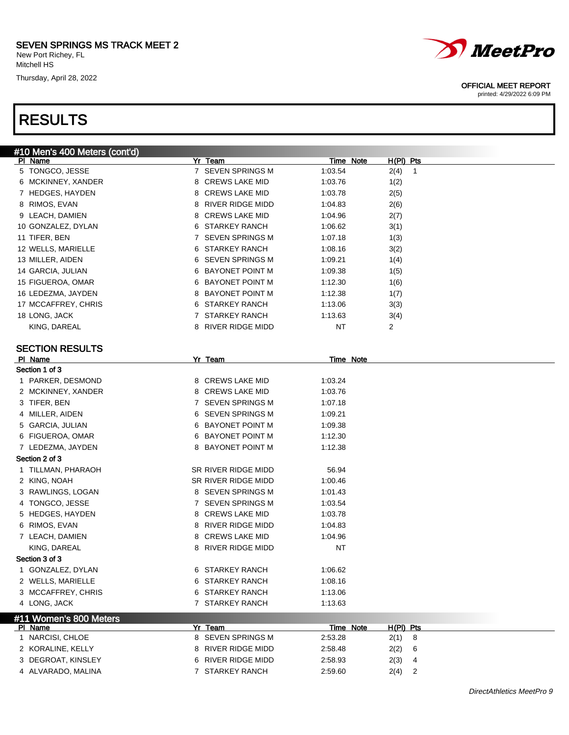Mitchell HS Thursday, April 28, 2022



| #10 Men's 400 Meters (cont'd) |                            |                                   |  |
|-------------------------------|----------------------------|-----------------------------------|--|
| PI Name                       | Yr Team                    | H(PI) Pts<br>Time Note            |  |
| 5 TONGCO, JESSE               | 7 SEVEN SPRINGS M          | 1:03.54<br>2(4)<br>$\overline{1}$ |  |
| 6 MCKINNEY, XANDER            | 8 CREWS LAKE MID           | 1:03.76<br>1(2)                   |  |
| 7 HEDGES, HAYDEN              | 8 CREWS LAKE MID           | 1:03.78<br>2(5)                   |  |
| 8 RIMOS, EVAN                 | 8 RIVER RIDGE MIDD         | 1:04.83<br>2(6)                   |  |
| 9 LEACH, DAMIEN               | 8 CREWS LAKE MID           | 1:04.96<br>2(7)                   |  |
| 10 GONZALEZ, DYLAN            | 6 STARKEY RANCH            | 1:06.62<br>3(1)                   |  |
| 11 TIFER, BEN                 | 7 SEVEN SPRINGS M          | 1:07.18<br>1(3)                   |  |
| 12 WELLS, MARIELLE            | 6 STARKEY RANCH            | 1:08.16<br>3(2)                   |  |
| 13 MILLER, AIDEN              | 6 SEVEN SPRINGS M          | 1:09.21<br>1(4)                   |  |
| 14 GARCIA, JULIAN             | 6 BAYONET POINT M          | 1:09.38<br>1(5)                   |  |
| 15 FIGUEROA, OMAR             | 6 BAYONET POINT M          | 1:12.30<br>1(6)                   |  |
| 16 LEDEZMA, JAYDEN            | 8 BAYONET POINT M          | 1:12.38<br>1(7)                   |  |
| 17 MCCAFFREY, CHRIS           | 6 STARKEY RANCH            | 1:13.06<br>3(3)                   |  |
| 18 LONG, JACK                 | 7 STARKEY RANCH            | 1:13.63<br>3(4)                   |  |
| KING, DAREAL                  | 8 RIVER RIDGE MIDD         | $\overline{2}$<br>NT              |  |
|                               |                            |                                   |  |
| <b>SECTION RESULTS</b>        |                            |                                   |  |
| PI Name                       | Yr Team                    | Time Note                         |  |
| Section 1 of 3                |                            |                                   |  |
| 1 PARKER, DESMOND             | 8 CREWS LAKE MID           | 1:03.24                           |  |
| 2 MCKINNEY, XANDER            | 8 CREWS LAKE MID           | 1:03.76                           |  |
| 3 TIFER, BEN                  | 7 SEVEN SPRINGS M          | 1:07.18                           |  |
| 4 MILLER, AIDEN               | 6 SEVEN SPRINGS M          | 1:09.21                           |  |
| 5 GARCIA, JULIAN              | 6 BAYONET POINT M          | 1:09.38                           |  |
| 6 FIGUEROA, OMAR              | 6 BAYONET POINT M          | 1:12.30                           |  |
| 7 LEDEZMA, JAYDEN             | 8 BAYONET POINT M          | 1:12.38                           |  |
| Section 2 of 3                |                            |                                   |  |
| 1 TILLMAN, PHARAOH            | SR RIVER RIDGE MIDD        | 56.94                             |  |
| 2 KING, NOAH                  | SR RIVER RIDGE MIDD        | 1:00.46                           |  |
| 3 RAWLINGS, LOGAN             | 8 SEVEN SPRINGS M          | 1:01.43                           |  |
| 4 TONGCO, JESSE               | 7 SEVEN SPRINGS M          | 1:03.54                           |  |
| HEDGES, HAYDEN<br>5           | 8 CREWS LAKE MID           | 1:03.78                           |  |
| 6 RIMOS, EVAN                 | 8 RIVER RIDGE MIDD         | 1:04.83                           |  |
| 7 LEACH, DAMIEN               | <b>CREWS LAKE MID</b><br>8 | 1:04.96                           |  |
| KING, DAREAL                  | RIVER RIDGE MIDD<br>8      | <b>NT</b>                         |  |
| Section 3 of 3                |                            |                                   |  |
| GONZALEZ, DYLAN<br>1          | 6 STARKEY RANCH            | 1:06.62                           |  |
| 2 WELLS, MARIELLE             | 6 STARKEY RANCH            | 1:08.16                           |  |
| 3 MCCAFFREY, CHRIS            | 6 STARKEY RANCH            | 1:13.06                           |  |
| 4 LONG, JACK                  | 7 STARKEY RANCH            | 1:13.63                           |  |
| #11 Women's 800 Meters        |                            |                                   |  |
| PI Name                       | Yr Team                    | Time Note<br>H(PI) Pts            |  |
| 1 NARCISI, CHLOE              | 8 SEVEN SPRINGS M          | 2:53.28<br>2(1)<br>8              |  |
| 2 KORALINE, KELLY             | 8 RIVER RIDGE MIDD         | 2:58.48<br>2(2)<br>6              |  |
| 3 DEGROAT, KINSLEY            | 6 RIVER RIDGE MIDD         | 2:58.93<br>2(3)<br>4              |  |
| 4 ALVARADO, MALINA            | 7 STARKEY RANCH            | 2<br>2:59.60<br>2(4)              |  |
|                               |                            |                                   |  |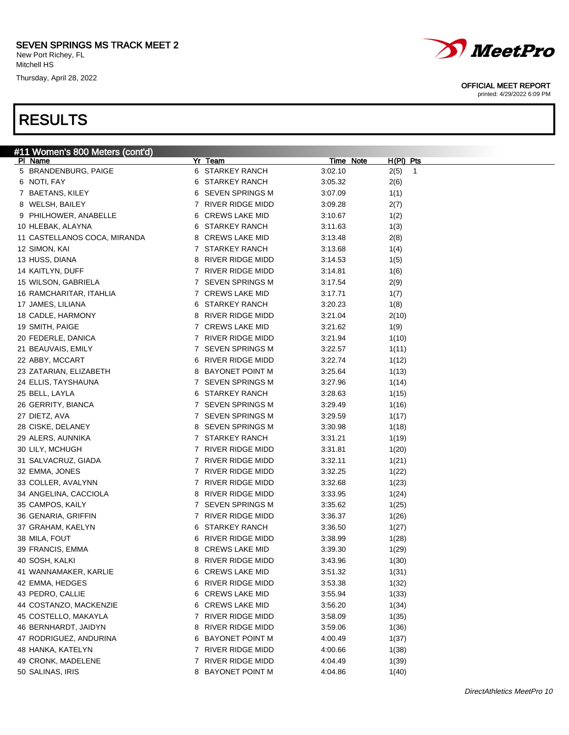#11 Women's 800 Meters (cont'd)<br>Pl Name

New Port Richey, FL Mitchell HS

Thursday, April 28, 2022



| 0.11011, 1.711               |              | <b>ULAIMLI IMAIVUL</b>  | <b>J.UJ.JZ</b> | $\mathsf{L}(0)$ |
|------------------------------|--------------|-------------------------|----------------|-----------------|
| 7 BAETANS, KILEY             |              | 6 SEVEN SPRINGS M       | 3:07.09        | 1(1)            |
| 8 WELSH, BAILEY              |              | 7 RIVER RIDGE MIDD      | 3:09.28        | 2(7)            |
| 9 PHILHOWER, ANABELLE        |              | 6 CREWS LAKE MID        | 3:10.67        | 1(2)            |
| 10 HLEBAK, ALAYNA            |              | 6 STARKEY RANCH         | 3:11.63        | 1(3)            |
| 11 CASTELLANOS COCA, MIRANDA |              | 8 CREWS LAKE MID        | 3:13.48        | 2(8)            |
| 12 SIMON, KAI                |              | 7 STARKEY RANCH         | 3:13.68        | 1(4)            |
| 13 HUSS, DIANA               | 8            | RIVER RIDGE MIDD        | 3:14.53        | 1(5)            |
| 14 KAITLYN, DUFF             |              | 7 RIVER RIDGE MIDD      | 3:14.81        | 1(6)            |
| 15 WILSON, GABRIELA          |              | 7 SEVEN SPRINGS M       | 3:17.54        | 2(9)            |
| 16 RAMCHARITAR, ITAHLIA      |              | 7 CREWS LAKE MID        | 3:17.71        | 1(7)            |
| 17 JAMES, LILIANA            |              | 6 STARKEY RANCH         | 3:20.23        | 1(8)            |
| 18 CADLE, HARMONY            |              | 8 RIVER RIDGE MIDD      | 3:21.04        | 2(10)           |
| 19 SMITH, PAIGE              |              | 7 CREWS LAKE MID        | 3:21.62        | 1(9)            |
| 20 FEDERLE, DANICA           |              | 7 RIVER RIDGE MIDD      | 3:21.94        | 1(10)           |
| 21 BEAUVAIS, EMILY           |              | 7 SEVEN SPRINGS M       | 3:22.57        | 1(11)           |
| 22 ABBY, MCCART              |              | 6 RIVER RIDGE MIDD      | 3:22.74        | 1(12)           |
| 23 ZATARIAN, ELIZABETH       |              | 8 BAYONET POINT M       | 3:25.64        | 1(13)           |
| 24 ELLIS, TAYSHAUNA          |              | 7 SEVEN SPRINGS M       | 3:27.96        | 1(14)           |
| 25 BELL, LAYLA               |              | 6 STARKEY RANCH         | 3:28.63        | 1(15)           |
| 26 GERRITY, BIANCA           |              | 7 SEVEN SPRINGS M       | 3:29.49        | 1(16)           |
| 27 DIETZ, AVA                |              | 7 SEVEN SPRINGS M       | 3:29.59        | 1(17)           |
| 28 CISKE, DELANEY            |              | 8 SEVEN SPRINGS M       | 3:30.98        | 1(18)           |
| 29 ALERS, AUNNIKA            |              | 7 STARKEY RANCH         | 3:31.21        | 1(19)           |
| 30 LILY, MCHUGH              |              | 7 RIVER RIDGE MIDD      | 3:31.81        | 1(20)           |
| 31 SALVACRUZ, GIADA          |              | 7 RIVER RIDGE MIDD      | 3:32.11        | 1(21)           |
| 32 EMMA, JONES               |              | 7 RIVER RIDGE MIDD      | 3:32.25        | 1(22)           |
| 33 COLLER, AVALYNN           |              | 7 RIVER RIDGE MIDD      | 3:32.68        | 1(23)           |
| 34 ANGELINA, CACCIOLA        |              | 8 RIVER RIDGE MIDD      | 3:33.95        | 1(24)           |
| 35 CAMPOS, KAILY             |              | 7 SEVEN SPRINGS M       | 3:35.62        | 1(25)           |
| 36 GENARIA, GRIFFIN          |              | 7 RIVER RIDGE MIDD      | 3:36.37        | 1(26)           |
| 37 GRAHAM, KAELYN            |              | 6 STARKEY RANCH         | 3:36.50        | 1(27)           |
| 38 MILA, FOUT                | 6            | RIVER RIDGE MIDD        | 3:38.99        | 1(28)           |
| 39 FRANCIS, EMMA             | 8            | <b>CREWS LAKE MID</b>   | 3:39.30        | 1(29)           |
| 40 SOSH, KALKI               | 8            | RIVER RIDGE MIDD        | 3:43.96        | 1(30)           |
| 41 WANNAMAKER, KARLIE        |              | 6 CREWS LAKE MID        | 3:51.32        | 1(31)           |
| 42 EMMA, HEDGES              | 6            | RIVER RIDGE MIDD        | 3:53.38        | 1(32)           |
| 43 PEDRO, CALLIE             |              | 6 CREWS LAKE MID        | 3:55.94        | 1(33)           |
| 44 COSTANZO, MACKENZIE       |              | 6 CREWS LAKE MID        | 3:56.20        | 1(34)           |
| 45 COSTELLO, MAKAYLA         | 7            | <b>RIVER RIDGE MIDD</b> | 3:58.09        | 1(35)           |
| 46 BERNHARDT, JAIDYN         | 8            | RIVER RIDGE MIDD        | 3:59.06        | 1(36)           |
| 47 RODRIGUEZ, ANDURINA       | 6            | BAYONET POINT M         | 4:00.49        | 1(37)           |
| 48 HANKA, KATELYN            | 7            | RIVER RIDGE MIDD        | 4:00.66        | 1(38)           |
| 49 CRONK, MADELENE           | $\mathbf{7}$ | RIVER RIDGE MIDD        | 4:04.49        | 1(39)           |
| 50 SALINAS, IRIS             |              | 8 BAYONET POINT M       | 4:04.86        | 1(40)           |

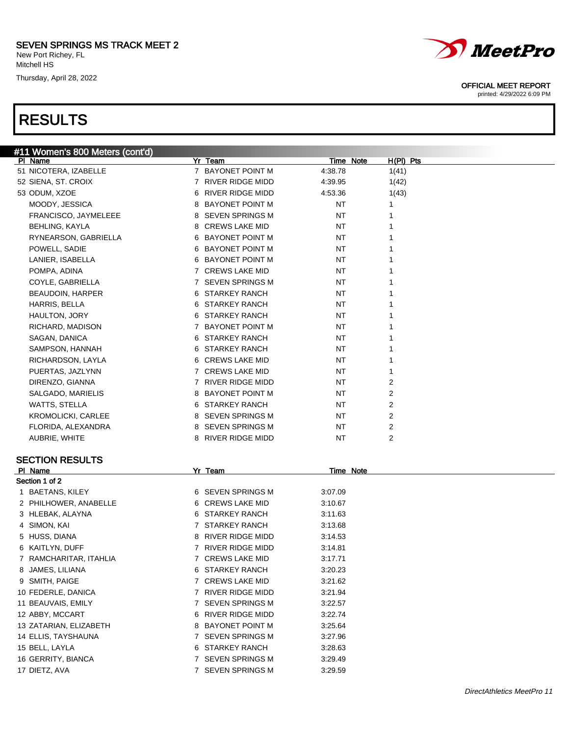# RESULTS



#### OFFICIAL MEET REPORT

| #11 Women's 800 Meters (cont'd) |   |                        |           |           |             |  |
|---------------------------------|---|------------------------|-----------|-----------|-------------|--|
| PI Name                         |   | Yr Team                |           | Time Note | $H(PI)$ Pts |  |
| 51 NICOTERA, IZABELLE           |   | 7 BAYONET POINT M      | 4:38.78   |           | 1(41)       |  |
| 52 SIENA, ST. CROIX             |   | 7 RIVER RIDGE MIDD     | 4:39.95   |           | 1(42)       |  |
| 53 ODUM, XZOE                   | 6 | RIVER RIDGE MIDD       | 4:53.36   |           | 1(43)       |  |
| MOODY, JESSICA                  |   | 8 BAYONET POINT M      | NT        |           | 1           |  |
| FRANCISCO, JAYMELEEE            |   | 8 SEVEN SPRINGS M      | <b>NT</b> |           | 1           |  |
| <b>BEHLING, KAYLA</b>           |   | 8 CREWS LAKE MID       | NT        |           | 1           |  |
| RYNEARSON, GABRIELLA            |   | 6 BAYONET POINT M      | NT        |           |             |  |
| POWELL, SADIE                   |   | 6 BAYONET POINT M      | NT        |           |             |  |
| LANIER, ISABELLA                |   | 6 BAYONET POINT M      | NT        |           |             |  |
| POMPA, ADINA                    |   | 7 CREWS LAKE MID       | ΝT        |           |             |  |
| COYLE, GABRIELLA                |   | 7 SEVEN SPRINGS M      | ΝT        |           |             |  |
| <b>BEAUDOIN, HARPER</b>         |   | 6 STARKEY RANCH        | NT        |           |             |  |
| HARRIS, BELLA                   |   | 6 STARKEY RANCH        | ΝT        |           |             |  |
| HAULTON, JORY                   |   | 6 STARKEY RANCH        | ΝT        |           |             |  |
| RICHARD, MADISON                |   | 7 BAYONET POINT M      | NT        |           |             |  |
| SAGAN, DANICA                   |   | 6 STARKEY RANCH        | NT        |           |             |  |
| SAMPSON, HANNAH                 |   | 6 STARKEY RANCH        | ΝT        |           |             |  |
| RICHARDSON, LAYLA               |   | 6 CREWS LAKE MID       | NT        |           | 1           |  |
| PUERTAS, JAZLYNN                |   | 7 CREWS LAKE MID       | NT        |           | 1           |  |
| DIRENZO, GIANNA                 |   | 7 RIVER RIDGE MIDD     | ΝT        |           | 2           |  |
| SALGADO, MARIELIS               |   | 8 BAYONET POINT M      | NT        |           | 2           |  |
| WATTS, STELLA                   |   | 6 STARKEY RANCH        | NT        |           | 2           |  |
| <b>KROMOLICKI, CARLEE</b>       |   | 8 SEVEN SPRINGS M      | NT        |           | 2           |  |
| FLORIDA, ALEXANDRA              |   | 8 SEVEN SPRINGS M      | NT        |           | 2           |  |
| AUBRIE, WHITE                   |   | 8 RIVER RIDGE MIDD     | NT        |           | 2           |  |
|                                 |   |                        |           |           |             |  |
| <b>SECTION RESULTS</b>          |   |                        |           |           |             |  |
| PI Name                         |   | Yr Team                |           | Time Note |             |  |
| Section 1 of 2                  |   |                        |           |           |             |  |
| 1 BAETANS, KILEY                |   | 6 SEVEN SPRINGS M      | 3:07.09   |           |             |  |
| 2 PHILHOWER, ANABELLE           |   | 6 CREWS LAKE MID       | 3:10.67   |           |             |  |
| 3 HLEBAK, ALAYNA                |   | 6 STARKEY RANCH        | 3:11.63   |           |             |  |
| 4 SIMON, KAI                    |   | 7 STARKEY RANCH        | 3:13.68   |           |             |  |
| 5 HUSS, DIANA                   |   | 8 RIVER RIDGE MIDD     | 3:14.53   |           |             |  |
| 6 KAITLYN, DUFF                 |   | 7 RIVER RIDGE MIDD     | 3:14.81   |           |             |  |
| 7 RAMCHARITAR, ITAHLIA          |   | 7 CREWS LAKE MID       | 3:17.71   |           |             |  |
| 8 JAMES, LILIANA                |   | 6 STARKEY RANCH        | 3:20.23   |           |             |  |
| 9 SMITH, PAIGE                  | 7 | <b>CREWS LAKE MID</b>  | 3:21.62   |           |             |  |
|                                 |   |                        |           |           |             |  |
| 10 FEDERLE, DANICA              | 7 | RIVER RIDGE MIDD       | 3:21.94   |           |             |  |
| 11 BEAUVAIS, EMILY              | 7 | <b>SEVEN SPRINGS M</b> | 3:22.57   |           |             |  |
| 12 ABBY, MCCART                 | 6 | RIVER RIDGE MIDD       | 3:22.74   |           |             |  |
| 13 ZATARIAN, ELIZABETH          | 8 | <b>BAYONET POINT M</b> | 3:25.64   |           |             |  |
| 14 ELLIS, TAYSHAUNA             | 7 | <b>SEVEN SPRINGS M</b> | 3:27.96   |           |             |  |
| 15 BELL, LAYLA                  | 6 | <b>STARKEY RANCH</b>   | 3:28.63   |           |             |  |
| 16 GERRITY, BIANCA              | 7 | <b>SEVEN SPRINGS M</b> | 3:29.49   |           |             |  |
| 17 DIETZ, AVA                   |   | 7 SEVEN SPRINGS M      | 3:29.59   |           |             |  |
|                                 |   |                        |           |           |             |  |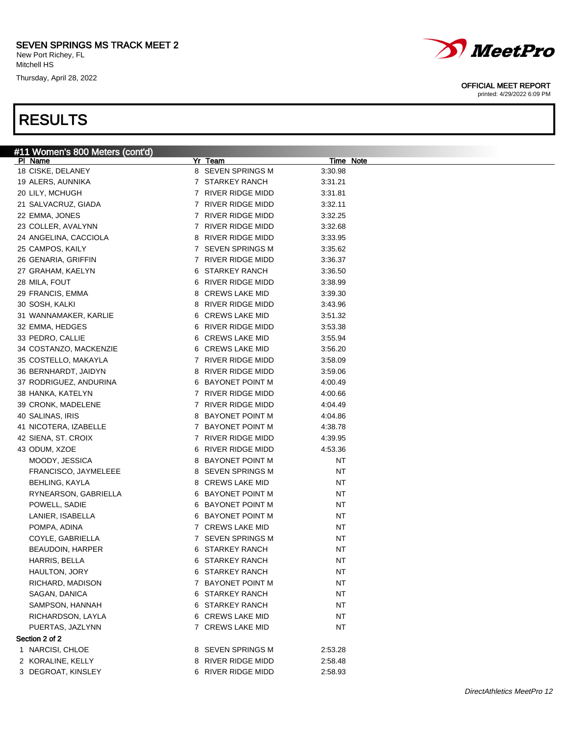Thursday, April 28, 2022

### RESULTS



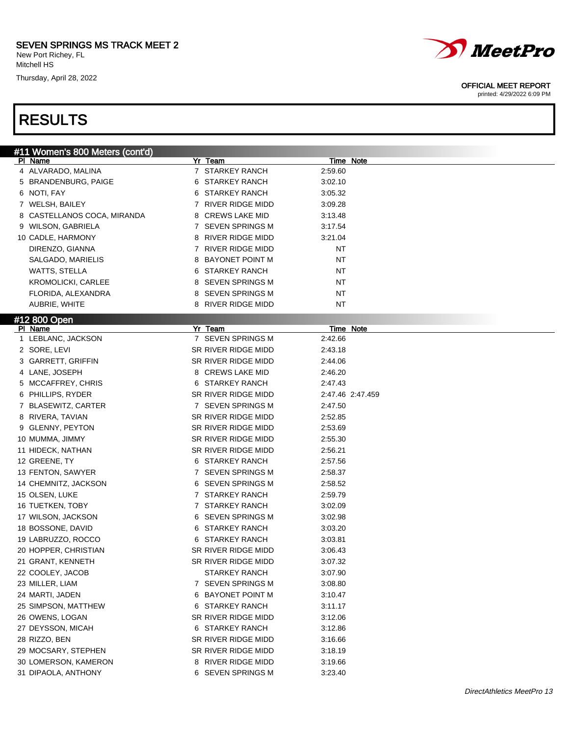Thursday, April 28, 2022



#### OFFICIAL MEET REPORT

printed: 4/29/2022 6:09 PM

| #11 Women's 800 Meters (cont'd) |                             |                  |
|---------------------------------|-----------------------------|------------------|
| PI Name                         | Yr Team                     | Time Note        |
| 4 ALVARADO, MALINA              | 7 STARKEY RANCH             | 2:59.60          |
| 5 BRANDENBURG, PAIGE            | STARKEY RANCH<br>6          | 3:02.10          |
| 6 NOTI, FAY                     | STARKEY RANCH<br>6          | 3:05.32          |
| 7 WELSH, BAILEY                 | 7 RIVER RIDGE MIDD          | 3:09.28          |
| 8 CASTELLANOS COCA, MIRANDA     | <b>CREWS LAKE MID</b><br>8  | 3:13.48          |
| 9 WILSON, GABRIELA              | 7 SEVEN SPRINGS M           | 3:17.54          |
| 10 CADLE, HARMONY               | RIVER RIDGE MIDD<br>8       | 3:21.04          |
| DIRENZO, GIANNA                 | 7 RIVER RIDGE MIDD          | ΝT               |
| SALGADO, MARIELIS               | <b>BAYONET POINT M</b><br>8 | ΝT               |
| WATTS, STELLA                   | STARKEY RANCH<br>6          | ΝT               |
| <b>KROMOLICKI, CARLEE</b>       | SEVEN SPRINGS M<br>8        | ΝT               |
| FLORIDA, ALEXANDRA              | <b>SEVEN SPRINGS M</b><br>8 | ΝT               |
| AUBRIE, WHITE                   | RIVER RIDGE MIDD<br>8       | NΤ               |
| #12 800 Open                    |                             |                  |
| PI Name                         | Yr Team                     | Time Note        |
| 1 LEBLANC, JACKSON              | 7 SEVEN SPRINGS M           | 2:42.66          |
| 2 SORE, LEVI                    | SR RIVER RIDGE MIDD         | 2:43.18          |
| 3 GARRETT, GRIFFIN              | SR RIVER RIDGE MIDD         | 2:44.06          |
| 4 LANE, JOSEPH                  | 8 CREWS LAKE MID            | 2:46.20          |
| 5 MCCAFFREY, CHRIS              | 6 STARKEY RANCH             | 2:47.43          |
| 6 PHILLIPS, RYDER               | SR RIVER RIDGE MIDD         | 2:47.46 2:47.459 |
| 7 BLASEWITZ, CARTER             | 7 SEVEN SPRINGS M           | 2:47.50          |
| 8 RIVERA, TAVIAN                | SR RIVER RIDGE MIDD         | 2:52.85          |
| 9 GLENNY, PEYTON                | SR RIVER RIDGE MIDD         | 2:53.69          |
| 10 MUMMA, JIMMY                 | SR RIVER RIDGE MIDD         | 2:55.30          |
| 11 HIDECK, NATHAN               | SR RIVER RIDGE MIDD         | 2:56.21          |
| 12 GREENE, TY                   | 6 STARKEY RANCH             | 2:57.56          |
| 13 FENTON, SAWYER               | 7 SEVEN SPRINGS M           | 2:58.37          |
| 14 CHEMNITZ, JACKSON            | 6 SEVEN SPRINGS M           | 2:58.52          |
| 15 OLSEN, LUKE                  | 7 STARKEY RANCH             | 2:59.79          |
| 16 TUETKEN, TOBY                | 7 STARKEY RANCH             | 3:02.09          |
| 17 WILSON, JACKSON              | SEVEN SPRINGS M<br>6.       |                  |
|                                 | <b>STARKEY RANCH</b>        | 3:02.98          |
| 18 BOSSONE, DAVID               | 6<br>6 STARKEY RANCH        | 3:03.20          |
| 19 LABRUZZO, ROCCO              |                             | 3:03.81          |
| 20 HOPPER, CHRISTIAN            | SR RIVER RIDGE MIDD         | 3:06.43          |
| 21 GRANT, KENNETH               | SR RIVER RIDGE MIDD         | 3:07.32          |
| 22 COOLEY, JACOB                | STARKEY RANCH               | 3:07.90          |
| 23 MILLER, LIAM                 | 7 SEVEN SPRINGS M           | 3:08.80          |
| 24 MARTI, JADEN                 | 6 BAYONET POINT M           | 3:10.47          |
| 25 SIMPSON, MATTHEW             | 6 STARKEY RANCH             | 3:11.17          |
| 26 OWENS, LOGAN                 | SR RIVER RIDGE MIDD         | 3:12.06          |
| 27 DEYSSON, MICAH               | 6 STARKEY RANCH             | 3:12.86          |
| 28 RIZZO, BEN                   | SR RIVER RIDGE MIDD         | 3:16.66          |
| 29 MOCSARY, STEPHEN             | SR RIVER RIDGE MIDD         | 3:18.19          |
| 30 LOMERSON, KAMERON            | 8 RIVER RIDGE MIDD          | 3:19.66          |
| 31 DIPAOLA, ANTHONY             | 6 SEVEN SPRINGS M           | 3:23.40          |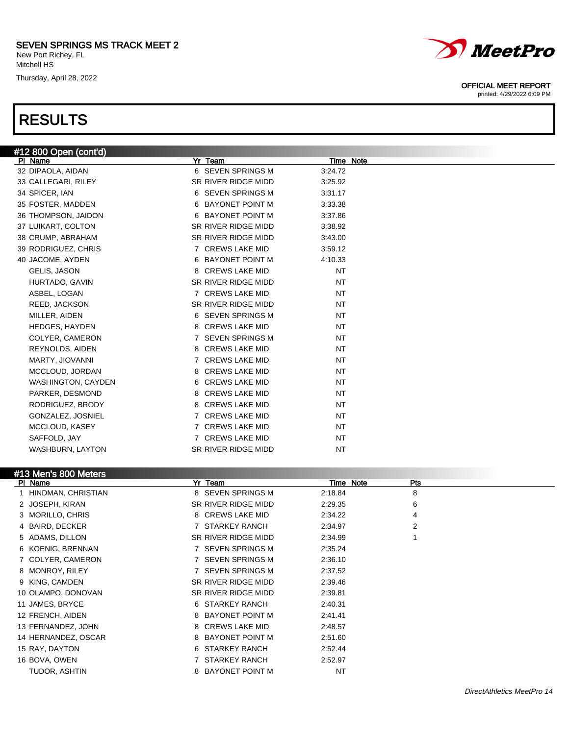Thursday, April 28, 2022

### RESULTS



| #13 Men's 800 Meters |
|----------------------|
| DI Nomo              |

| $\pi$ is included the control of $\pi$<br>PI Name | Yr Team                     | Time Note | Pts |  |
|---------------------------------------------------|-----------------------------|-----------|-----|--|
| HINDMAN, CHRISTIAN                                | 8 SEVEN SPRINGS M           | 2:18.84   | 8   |  |
| 2 JOSEPH, KIRAN                                   | SR RIVER RIDGE MIDD         | 2:29.35   | 6   |  |
| 3 MORILLO, CHRIS                                  | 8 CREWS LAKE MID            | 2:34.22   | 4   |  |
| 4 BAIRD, DECKER                                   | 7 STARKEY RANCH             | 2:34.97   | 2   |  |
| 5 ADAMS, DILLON                                   | SR RIVER RIDGE MIDD         | 2:34.99   |     |  |
| 6 KOENIG, BRENNAN                                 | 7 SEVEN SPRINGS M           | 2:35.24   |     |  |
| 7 COLYER, CAMERON                                 | 7 SEVEN SPRINGS M           | 2:36.10   |     |  |
| 8 MONROY, RILEY                                   | <b>SEVEN SPRINGS M</b>      | 2:37.52   |     |  |
| 9 KING, CAMDEN                                    | SR RIVER RIDGE MIDD         | 2:39.46   |     |  |
| 10 OLAMPO, DONOVAN                                | SR RIVER RIDGE MIDD         | 2:39.81   |     |  |
| 11 JAMES, BRYCE                                   | 6 STARKEY RANCH             | 2:40.31   |     |  |
| 12 FRENCH, AIDEN                                  | 8 BAYONET POINT M           | 2:41.41   |     |  |
| 13 FERNANDEZ, JOHN                                | 8 CREWS LAKE MID            | 2:48.57   |     |  |
| 14 HERNANDEZ, OSCAR                               | 8 BAYONET POINT M           | 2:51.60   |     |  |
| 15 RAY, DAYTON                                    | <b>STARKEY RANCH</b><br>6   | 2:52.44   |     |  |
| 16 BOVA, OWEN                                     | <b>STARKEY RANCH</b>        | 2:52.97   |     |  |
| TUDOR, ASHTIN                                     | <b>BAYONET POINT M</b><br>8 | <b>NT</b> |     |  |



#### OFFICIAL MEET REPORT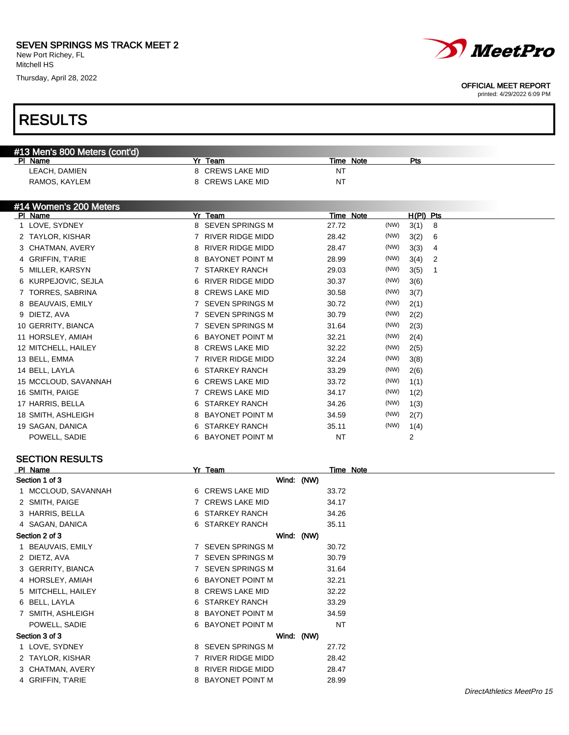Thursday, April 28, 2022

# RESULTS



#### OFFICIAL MEET REPORT

| #13 Men's 800 Meters (cont'd) |   |                         |            |           |           |      |                |             |                            |
|-------------------------------|---|-------------------------|------------|-----------|-----------|------|----------------|-------------|----------------------------|
| PI Name                       |   | Yr Team                 |            |           | Time Note |      | Pts            |             |                            |
| LEACH, DAMIEN                 |   | 8 CREWS LAKE MID        |            | NT        |           |      |                |             |                            |
| RAMOS, KAYLEM                 |   | 8 CREWS LAKE MID        |            | <b>NT</b> |           |      |                |             |                            |
|                               |   |                         |            |           |           |      |                |             |                            |
| #14 Women's 200 Meters        |   |                         |            |           |           |      |                |             |                            |
| PI Name                       |   | Yr Team                 |            |           | Time Note |      | H(PI) Pts      |             |                            |
| 1 LOVE, SYDNEY                |   | 8 SEVEN SPRINGS M       |            | 27.72     |           | (NW) | 3(1)           | 8           |                            |
| 2 TAYLOR, KISHAR              |   | 7 RIVER RIDGE MIDD      |            | 28.42     |           | (NW) | 3(2)           | 6           |                            |
| 3 CHATMAN, AVERY              |   | 8 RIVER RIDGE MIDD      |            | 28.47     |           | (NW) | 3(3)           | 4           |                            |
| 4 GRIFFIN, T'ARIE             |   | 8 BAYONET POINT M       |            | 28.99     |           | (NW) | 3(4)           | 2           |                            |
| 5 MILLER, KARSYN              |   | 7 STARKEY RANCH         |            | 29.03     |           | (NW) | 3(5)           | $\mathbf 1$ |                            |
| 6 KURPEJOVIC, SEJLA           |   | 6 RIVER RIDGE MIDD      |            | 30.37     |           | (NW) | 3(6)           |             |                            |
| 7 TORRES, SABRINA             |   | 8 CREWS LAKE MID        |            | 30.58     |           | (NW) | 3(7)           |             |                            |
| 8 BEAUVAIS, EMILY             |   | 7 SEVEN SPRINGS M       |            | 30.72     |           | (NW) | 2(1)           |             |                            |
| 9 DIETZ, AVA                  |   | 7 SEVEN SPRINGS M       |            | 30.79     |           | (NW) | 2(2)           |             |                            |
| 10 GERRITY, BIANCA            |   | 7 SEVEN SPRINGS M       |            | 31.64     |           | (NW) | 2(3)           |             |                            |
| 11 HORSLEY, AMIAH             |   | 6 BAYONET POINT M       |            | 32.21     |           | (NW) | 2(4)           |             |                            |
| 12 MITCHELL, HAILEY           |   | 8 CREWS LAKE MID        |            | 32.22     |           | (NW) | 2(5)           |             |                            |
| 13 BELL, EMMA                 |   | 7 RIVER RIDGE MIDD      |            | 32.24     |           | (NW) | 3(8)           |             |                            |
| 14 BELL, LAYLA                | 6 | <b>STARKEY RANCH</b>    |            | 33.29     |           | (NW) | 2(6)           |             |                            |
| 15 MCCLOUD, SAVANNAH          |   | 6 CREWS LAKE MID        |            | 33.72     |           | (NW) | 1(1)           |             |                            |
|                               |   | 7 CREWS LAKE MID        |            | 34.17     |           | (NW) |                |             |                            |
| 16 SMITH, PAIGE               |   | <b>STARKEY RANCH</b>    |            |           |           | (NW) | 1(2)           |             |                            |
| 17 HARRIS, BELLA              | 6 |                         |            | 34.26     |           |      | 1(3)           |             |                            |
| 18 SMITH, ASHLEIGH            |   | 8 BAYONET POINT M       |            | 34.59     |           | (NW) | 2(7)           |             |                            |
| 19 SAGAN, DANICA              | 6 | <b>STARKEY RANCH</b>    |            | 35.11     |           | (NW) | 1(4)           |             |                            |
| POWELL, SADIE                 | 6 | <b>BAYONET POINT M</b>  |            | <b>NT</b> |           |      | $\overline{c}$ |             |                            |
|                               |   |                         |            |           |           |      |                |             |                            |
| <b>SECTION RESULTS</b>        |   |                         |            |           |           |      |                |             |                            |
| PI Name<br>Section 1 of 3     |   | Yr Team                 | Wind: (NW) |           | Time Note |      |                |             |                            |
|                               |   | 6 CREWS LAKE MID        |            |           |           |      |                |             |                            |
| 1 MCCLOUD, SAVANNAH           |   |                         |            | 33.72     |           |      |                |             |                            |
| 2 SMITH, PAIGE                |   | 7 CREWS LAKE MID        |            | 34.17     |           |      |                |             |                            |
| 3 HARRIS, BELLA               |   | 6 STARKEY RANCH         |            | 34.26     |           |      |                |             |                            |
| 4 SAGAN, DANICA               |   | 6 STARKEY RANCH         |            | 35.11     |           |      |                |             |                            |
| Section 2 of 3                |   |                         | Wind: (NW) |           |           |      |                |             |                            |
| 1 BEAUVAIS, EMILY             |   | 7 SEVEN SPRINGS M       |            | 30.72     |           |      |                |             |                            |
| 2 DIETZ, AVA                  |   | 7 SEVEN SPRINGS M       |            | 30.79     |           |      |                |             |                            |
| 3 GERRITY, BIANCA             |   | 7 SEVEN SPRINGS M       |            | 31.64     |           |      |                |             |                            |
| 4 HORSLEY, AMIAH              | 6 | <b>BAYONET POINT M</b>  |            | 32.21     |           |      |                |             |                            |
| MITCHELL, HAILEY<br>5         | 8 | <b>CREWS LAKE MID</b>   |            | 32.22     |           |      |                |             |                            |
| 6 BELL, LAYLA                 | 6 | <b>STARKEY RANCH</b>    |            | 33.29     |           |      |                |             |                            |
| 7 SMITH, ASHLEIGH             | 8 | <b>BAYONET POINT M</b>  |            | 34.59     |           |      |                |             |                            |
| POWELL, SADIE                 |   | 6 BAYONET POINT M       |            | <b>NT</b> |           |      |                |             |                            |
| Section 3 of 3                |   |                         | Wind: (NW) |           |           |      |                |             |                            |
| 1 LOVE, SYDNEY                |   | 8 SEVEN SPRINGS M       |            | 27.72     |           |      |                |             |                            |
| 2 TAYLOR, KISHAR              |   | 7 RIVER RIDGE MIDD      |            | 28.42     |           |      |                |             |                            |
| 3 CHATMAN, AVERY              | 8 | <b>RIVER RIDGE MIDD</b> |            | 28.47     |           |      |                |             |                            |
| 4 GRIFFIN, T'ARIE             |   | 8 BAYONET POINT M       |            | 28.99     |           |      |                |             |                            |
|                               |   |                         |            |           |           |      |                |             | DirectAthletics MeetPro 15 |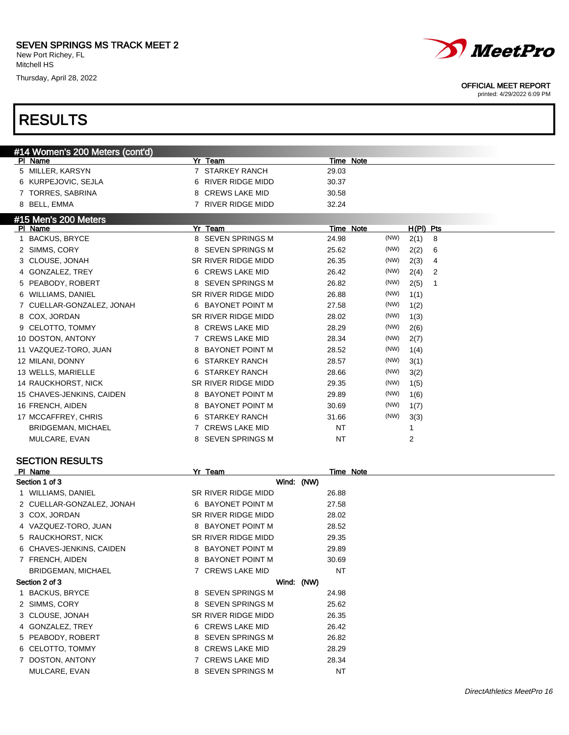Thursday, April 28, 2022



#### OFFICIAL MEET REPORT

printed: 4/29/2022 6:09 PM

| Yr Team<br>PI Name<br>Time Note<br>5 MILLER, KARSYN<br>7 STARKEY RANCH<br>29.03<br>6 KURPEJOVIC, SEJLA<br>6 RIVER RIDGE MIDD<br>30.37<br>8 CREWS LAKE MID<br>7 TORRES, SABRINA<br>30.58<br>8 BELL, EMMA<br>7 RIVER RIDGE MIDD<br>32.24<br>#15 Men's 200 Meters<br>PI Name<br>Yr Team<br>Time Note<br>H(PI) Pts<br><b>BACKUS, BRYCE</b><br>8 SEVEN SPRINGS M<br>24.98<br>(NW)<br>2(1)<br>8<br>1<br>2 SIMMS, CORY<br><b>SEVEN SPRINGS M</b><br>(NW)<br>25.62<br>2(2)<br>6<br>8<br>3 CLOUSE, JONAH<br>SR RIVER RIDGE MIDD<br>(NW)<br>26.35<br>2(3)<br>4<br>6 CREWS LAKE MID<br>(NW)<br>4 GONZALEZ, TREY<br>26.42<br>2(4)<br>2<br>PEABODY, ROBERT<br>SEVEN SPRINGS M<br>(NW)<br>2(5)<br>26.82<br>8<br>1<br>5<br>(NW)<br>SR RIVER RIDGE MIDD<br>WILLIAMS, DANIEL<br>26.88<br>1(1)<br>6<br>(NW)<br>7 CUELLAR-GONZALEZ, JONAH<br>6 BAYONET POINT M<br>27.58<br>1(2)<br>(NW)<br>8 COX, JORDAN<br>SR RIVER RIDGE MIDD<br>28.02<br>1(3)<br>(NW)<br><b>CELOTTO, TOMMY</b><br>8 CREWS LAKE MID<br>28.29<br>2(6)<br>9<br>(NW)<br>10 DOSTON, ANTONY<br>7 CREWS LAKE MID<br>28.34<br>2(7)<br>(NW)<br><b>BAYONET POINT M</b><br>11 VAZQUEZ-TORO, JUAN<br>28.52<br>8<br>1(4)<br>(NW)<br>12 MILANI, DONNY<br><b>STARKEY RANCH</b><br>28.57<br>3(1)<br>6<br>(NW)<br>13 WELLS, MARIELLE<br><b>STARKEY RANCH</b><br>28.66<br>3(2)<br>6<br>(NW)<br>14 RAUCKHORST, NICK<br>SR RIVER RIDGE MIDD<br>29.35<br>1(5)<br>(NW)<br>8 BAYONET POINT M<br>15 CHAVES-JENKINS, CAIDEN<br>29.89<br>1(6)<br>(NW)<br>16 FRENCH, AIDEN<br><b>BAYONET POINT M</b><br>30.69<br>8<br>1(7)<br>(NW)<br>17 MCCAFFREY, CHRIS<br><b>STARKEY RANCH</b><br>31.66<br>3(3)<br>6<br>7 CREWS LAKE MID<br><b>NT</b><br><b>BRIDGEMAN, MICHAEL</b><br>1<br>8 SEVEN SPRINGS M<br>NT<br>2<br>MULCARE, EVAN<br><b>SECTION RESULTS</b><br>Yr Team<br>PI Name<br>Time Note<br>Section 1 of 3<br>Wind: (NW)<br>26.88<br>1 WILLIAMS, DANIEL<br>SR RIVER RIDGE MIDD<br>2 CUELLAR-GONZALEZ, JONAH<br>6 BAYONET POINT M<br>27.58<br>SR RIVER RIDGE MIDD<br>28.02<br>3 COX, JORDAN<br>28.52<br>4 VAZQUEZ-TORO, JUAN<br>8 BAYONET POINT M<br>SR RIVER RIDGE MIDD<br>29.35<br>5 RAUCKHORST, NICK<br>8 BAYONET POINT M<br>29.89<br>6 CHAVES-JENKINS, CAIDEN<br>7 FRENCH, AIDEN<br>8 BAYONET POINT M<br>30.69<br><b>NT</b><br><b>BRIDGEMAN, MICHAEL</b><br>7 CREWS LAKE MID<br>Section 2 of 3<br>Wind: (NW)<br>8 SEVEN SPRINGS M<br>1 BACKUS, BRYCE<br>24.98<br>2 SIMMS, CORY<br>8 SEVEN SPRINGS M<br>25.62<br>3 CLOUSE, JONAH<br>SR RIVER RIDGE MIDD<br>26.35<br>6 CREWS LAKE MID<br>4 GONZALEZ, TREY<br>26.42<br>8 SEVEN SPRINGS M<br>26.82<br>5 PEABODY, ROBERT<br>6 CELOTTO, TOMMY<br>8 CREWS LAKE MID<br>28.29<br>7 CREWS LAKE MID<br>28.34<br>7 DOSTON, ANTONY | #14 Women's 200 Meters (cont'd) |                   |           |  |  |
|-----------------------------------------------------------------------------------------------------------------------------------------------------------------------------------------------------------------------------------------------------------------------------------------------------------------------------------------------------------------------------------------------------------------------------------------------------------------------------------------------------------------------------------------------------------------------------------------------------------------------------------------------------------------------------------------------------------------------------------------------------------------------------------------------------------------------------------------------------------------------------------------------------------------------------------------------------------------------------------------------------------------------------------------------------------------------------------------------------------------------------------------------------------------------------------------------------------------------------------------------------------------------------------------------------------------------------------------------------------------------------------------------------------------------------------------------------------------------------------------------------------------------------------------------------------------------------------------------------------------------------------------------------------------------------------------------------------------------------------------------------------------------------------------------------------------------------------------------------------------------------------------------------------------------------------------------------------------------------------------------------------------------------------------------------------------------------------------------------------------------------------------------------------------------------------------------------------------------------------------------------------------------------------------------------------------------------------------------------------------------------------------------------------------------------------------------------------------------------------------------------------------------------------------------------------------------------------------------------------------------------------------------------------------------------------------------|---------------------------------|-------------------|-----------|--|--|
|                                                                                                                                                                                                                                                                                                                                                                                                                                                                                                                                                                                                                                                                                                                                                                                                                                                                                                                                                                                                                                                                                                                                                                                                                                                                                                                                                                                                                                                                                                                                                                                                                                                                                                                                                                                                                                                                                                                                                                                                                                                                                                                                                                                                                                                                                                                                                                                                                                                                                                                                                                                                                                                                                               |                                 |                   |           |  |  |
|                                                                                                                                                                                                                                                                                                                                                                                                                                                                                                                                                                                                                                                                                                                                                                                                                                                                                                                                                                                                                                                                                                                                                                                                                                                                                                                                                                                                                                                                                                                                                                                                                                                                                                                                                                                                                                                                                                                                                                                                                                                                                                                                                                                                                                                                                                                                                                                                                                                                                                                                                                                                                                                                                               |                                 |                   |           |  |  |
|                                                                                                                                                                                                                                                                                                                                                                                                                                                                                                                                                                                                                                                                                                                                                                                                                                                                                                                                                                                                                                                                                                                                                                                                                                                                                                                                                                                                                                                                                                                                                                                                                                                                                                                                                                                                                                                                                                                                                                                                                                                                                                                                                                                                                                                                                                                                                                                                                                                                                                                                                                                                                                                                                               |                                 |                   |           |  |  |
|                                                                                                                                                                                                                                                                                                                                                                                                                                                                                                                                                                                                                                                                                                                                                                                                                                                                                                                                                                                                                                                                                                                                                                                                                                                                                                                                                                                                                                                                                                                                                                                                                                                                                                                                                                                                                                                                                                                                                                                                                                                                                                                                                                                                                                                                                                                                                                                                                                                                                                                                                                                                                                                                                               |                                 |                   |           |  |  |
|                                                                                                                                                                                                                                                                                                                                                                                                                                                                                                                                                                                                                                                                                                                                                                                                                                                                                                                                                                                                                                                                                                                                                                                                                                                                                                                                                                                                                                                                                                                                                                                                                                                                                                                                                                                                                                                                                                                                                                                                                                                                                                                                                                                                                                                                                                                                                                                                                                                                                                                                                                                                                                                                                               |                                 |                   |           |  |  |
|                                                                                                                                                                                                                                                                                                                                                                                                                                                                                                                                                                                                                                                                                                                                                                                                                                                                                                                                                                                                                                                                                                                                                                                                                                                                                                                                                                                                                                                                                                                                                                                                                                                                                                                                                                                                                                                                                                                                                                                                                                                                                                                                                                                                                                                                                                                                                                                                                                                                                                                                                                                                                                                                                               |                                 |                   |           |  |  |
|                                                                                                                                                                                                                                                                                                                                                                                                                                                                                                                                                                                                                                                                                                                                                                                                                                                                                                                                                                                                                                                                                                                                                                                                                                                                                                                                                                                                                                                                                                                                                                                                                                                                                                                                                                                                                                                                                                                                                                                                                                                                                                                                                                                                                                                                                                                                                                                                                                                                                                                                                                                                                                                                                               |                                 |                   |           |  |  |
|                                                                                                                                                                                                                                                                                                                                                                                                                                                                                                                                                                                                                                                                                                                                                                                                                                                                                                                                                                                                                                                                                                                                                                                                                                                                                                                                                                                                                                                                                                                                                                                                                                                                                                                                                                                                                                                                                                                                                                                                                                                                                                                                                                                                                                                                                                                                                                                                                                                                                                                                                                                                                                                                                               |                                 |                   |           |  |  |
|                                                                                                                                                                                                                                                                                                                                                                                                                                                                                                                                                                                                                                                                                                                                                                                                                                                                                                                                                                                                                                                                                                                                                                                                                                                                                                                                                                                                                                                                                                                                                                                                                                                                                                                                                                                                                                                                                                                                                                                                                                                                                                                                                                                                                                                                                                                                                                                                                                                                                                                                                                                                                                                                                               |                                 |                   |           |  |  |
|                                                                                                                                                                                                                                                                                                                                                                                                                                                                                                                                                                                                                                                                                                                                                                                                                                                                                                                                                                                                                                                                                                                                                                                                                                                                                                                                                                                                                                                                                                                                                                                                                                                                                                                                                                                                                                                                                                                                                                                                                                                                                                                                                                                                                                                                                                                                                                                                                                                                                                                                                                                                                                                                                               |                                 |                   |           |  |  |
|                                                                                                                                                                                                                                                                                                                                                                                                                                                                                                                                                                                                                                                                                                                                                                                                                                                                                                                                                                                                                                                                                                                                                                                                                                                                                                                                                                                                                                                                                                                                                                                                                                                                                                                                                                                                                                                                                                                                                                                                                                                                                                                                                                                                                                                                                                                                                                                                                                                                                                                                                                                                                                                                                               |                                 |                   |           |  |  |
|                                                                                                                                                                                                                                                                                                                                                                                                                                                                                                                                                                                                                                                                                                                                                                                                                                                                                                                                                                                                                                                                                                                                                                                                                                                                                                                                                                                                                                                                                                                                                                                                                                                                                                                                                                                                                                                                                                                                                                                                                                                                                                                                                                                                                                                                                                                                                                                                                                                                                                                                                                                                                                                                                               |                                 |                   |           |  |  |
|                                                                                                                                                                                                                                                                                                                                                                                                                                                                                                                                                                                                                                                                                                                                                                                                                                                                                                                                                                                                                                                                                                                                                                                                                                                                                                                                                                                                                                                                                                                                                                                                                                                                                                                                                                                                                                                                                                                                                                                                                                                                                                                                                                                                                                                                                                                                                                                                                                                                                                                                                                                                                                                                                               |                                 |                   |           |  |  |
|                                                                                                                                                                                                                                                                                                                                                                                                                                                                                                                                                                                                                                                                                                                                                                                                                                                                                                                                                                                                                                                                                                                                                                                                                                                                                                                                                                                                                                                                                                                                                                                                                                                                                                                                                                                                                                                                                                                                                                                                                                                                                                                                                                                                                                                                                                                                                                                                                                                                                                                                                                                                                                                                                               |                                 |                   |           |  |  |
|                                                                                                                                                                                                                                                                                                                                                                                                                                                                                                                                                                                                                                                                                                                                                                                                                                                                                                                                                                                                                                                                                                                                                                                                                                                                                                                                                                                                                                                                                                                                                                                                                                                                                                                                                                                                                                                                                                                                                                                                                                                                                                                                                                                                                                                                                                                                                                                                                                                                                                                                                                                                                                                                                               |                                 |                   |           |  |  |
|                                                                                                                                                                                                                                                                                                                                                                                                                                                                                                                                                                                                                                                                                                                                                                                                                                                                                                                                                                                                                                                                                                                                                                                                                                                                                                                                                                                                                                                                                                                                                                                                                                                                                                                                                                                                                                                                                                                                                                                                                                                                                                                                                                                                                                                                                                                                                                                                                                                                                                                                                                                                                                                                                               |                                 |                   |           |  |  |
|                                                                                                                                                                                                                                                                                                                                                                                                                                                                                                                                                                                                                                                                                                                                                                                                                                                                                                                                                                                                                                                                                                                                                                                                                                                                                                                                                                                                                                                                                                                                                                                                                                                                                                                                                                                                                                                                                                                                                                                                                                                                                                                                                                                                                                                                                                                                                                                                                                                                                                                                                                                                                                                                                               |                                 |                   |           |  |  |
|                                                                                                                                                                                                                                                                                                                                                                                                                                                                                                                                                                                                                                                                                                                                                                                                                                                                                                                                                                                                                                                                                                                                                                                                                                                                                                                                                                                                                                                                                                                                                                                                                                                                                                                                                                                                                                                                                                                                                                                                                                                                                                                                                                                                                                                                                                                                                                                                                                                                                                                                                                                                                                                                                               |                                 |                   |           |  |  |
|                                                                                                                                                                                                                                                                                                                                                                                                                                                                                                                                                                                                                                                                                                                                                                                                                                                                                                                                                                                                                                                                                                                                                                                                                                                                                                                                                                                                                                                                                                                                                                                                                                                                                                                                                                                                                                                                                                                                                                                                                                                                                                                                                                                                                                                                                                                                                                                                                                                                                                                                                                                                                                                                                               |                                 |                   |           |  |  |
|                                                                                                                                                                                                                                                                                                                                                                                                                                                                                                                                                                                                                                                                                                                                                                                                                                                                                                                                                                                                                                                                                                                                                                                                                                                                                                                                                                                                                                                                                                                                                                                                                                                                                                                                                                                                                                                                                                                                                                                                                                                                                                                                                                                                                                                                                                                                                                                                                                                                                                                                                                                                                                                                                               |                                 |                   |           |  |  |
|                                                                                                                                                                                                                                                                                                                                                                                                                                                                                                                                                                                                                                                                                                                                                                                                                                                                                                                                                                                                                                                                                                                                                                                                                                                                                                                                                                                                                                                                                                                                                                                                                                                                                                                                                                                                                                                                                                                                                                                                                                                                                                                                                                                                                                                                                                                                                                                                                                                                                                                                                                                                                                                                                               |                                 |                   |           |  |  |
|                                                                                                                                                                                                                                                                                                                                                                                                                                                                                                                                                                                                                                                                                                                                                                                                                                                                                                                                                                                                                                                                                                                                                                                                                                                                                                                                                                                                                                                                                                                                                                                                                                                                                                                                                                                                                                                                                                                                                                                                                                                                                                                                                                                                                                                                                                                                                                                                                                                                                                                                                                                                                                                                                               |                                 |                   |           |  |  |
|                                                                                                                                                                                                                                                                                                                                                                                                                                                                                                                                                                                                                                                                                                                                                                                                                                                                                                                                                                                                                                                                                                                                                                                                                                                                                                                                                                                                                                                                                                                                                                                                                                                                                                                                                                                                                                                                                                                                                                                                                                                                                                                                                                                                                                                                                                                                                                                                                                                                                                                                                                                                                                                                                               |                                 |                   |           |  |  |
|                                                                                                                                                                                                                                                                                                                                                                                                                                                                                                                                                                                                                                                                                                                                                                                                                                                                                                                                                                                                                                                                                                                                                                                                                                                                                                                                                                                                                                                                                                                                                                                                                                                                                                                                                                                                                                                                                                                                                                                                                                                                                                                                                                                                                                                                                                                                                                                                                                                                                                                                                                                                                                                                                               |                                 |                   |           |  |  |
|                                                                                                                                                                                                                                                                                                                                                                                                                                                                                                                                                                                                                                                                                                                                                                                                                                                                                                                                                                                                                                                                                                                                                                                                                                                                                                                                                                                                                                                                                                                                                                                                                                                                                                                                                                                                                                                                                                                                                                                                                                                                                                                                                                                                                                                                                                                                                                                                                                                                                                                                                                                                                                                                                               |                                 |                   |           |  |  |
|                                                                                                                                                                                                                                                                                                                                                                                                                                                                                                                                                                                                                                                                                                                                                                                                                                                                                                                                                                                                                                                                                                                                                                                                                                                                                                                                                                                                                                                                                                                                                                                                                                                                                                                                                                                                                                                                                                                                                                                                                                                                                                                                                                                                                                                                                                                                                                                                                                                                                                                                                                                                                                                                                               |                                 |                   |           |  |  |
|                                                                                                                                                                                                                                                                                                                                                                                                                                                                                                                                                                                                                                                                                                                                                                                                                                                                                                                                                                                                                                                                                                                                                                                                                                                                                                                                                                                                                                                                                                                                                                                                                                                                                                                                                                                                                                                                                                                                                                                                                                                                                                                                                                                                                                                                                                                                                                                                                                                                                                                                                                                                                                                                                               |                                 |                   |           |  |  |
|                                                                                                                                                                                                                                                                                                                                                                                                                                                                                                                                                                                                                                                                                                                                                                                                                                                                                                                                                                                                                                                                                                                                                                                                                                                                                                                                                                                                                                                                                                                                                                                                                                                                                                                                                                                                                                                                                                                                                                                                                                                                                                                                                                                                                                                                                                                                                                                                                                                                                                                                                                                                                                                                                               |                                 |                   |           |  |  |
|                                                                                                                                                                                                                                                                                                                                                                                                                                                                                                                                                                                                                                                                                                                                                                                                                                                                                                                                                                                                                                                                                                                                                                                                                                                                                                                                                                                                                                                                                                                                                                                                                                                                                                                                                                                                                                                                                                                                                                                                                                                                                                                                                                                                                                                                                                                                                                                                                                                                                                                                                                                                                                                                                               |                                 |                   |           |  |  |
|                                                                                                                                                                                                                                                                                                                                                                                                                                                                                                                                                                                                                                                                                                                                                                                                                                                                                                                                                                                                                                                                                                                                                                                                                                                                                                                                                                                                                                                                                                                                                                                                                                                                                                                                                                                                                                                                                                                                                                                                                                                                                                                                                                                                                                                                                                                                                                                                                                                                                                                                                                                                                                                                                               |                                 |                   |           |  |  |
|                                                                                                                                                                                                                                                                                                                                                                                                                                                                                                                                                                                                                                                                                                                                                                                                                                                                                                                                                                                                                                                                                                                                                                                                                                                                                                                                                                                                                                                                                                                                                                                                                                                                                                                                                                                                                                                                                                                                                                                                                                                                                                                                                                                                                                                                                                                                                                                                                                                                                                                                                                                                                                                                                               |                                 |                   |           |  |  |
|                                                                                                                                                                                                                                                                                                                                                                                                                                                                                                                                                                                                                                                                                                                                                                                                                                                                                                                                                                                                                                                                                                                                                                                                                                                                                                                                                                                                                                                                                                                                                                                                                                                                                                                                                                                                                                                                                                                                                                                                                                                                                                                                                                                                                                                                                                                                                                                                                                                                                                                                                                                                                                                                                               |                                 |                   |           |  |  |
|                                                                                                                                                                                                                                                                                                                                                                                                                                                                                                                                                                                                                                                                                                                                                                                                                                                                                                                                                                                                                                                                                                                                                                                                                                                                                                                                                                                                                                                                                                                                                                                                                                                                                                                                                                                                                                                                                                                                                                                                                                                                                                                                                                                                                                                                                                                                                                                                                                                                                                                                                                                                                                                                                               |                                 |                   |           |  |  |
|                                                                                                                                                                                                                                                                                                                                                                                                                                                                                                                                                                                                                                                                                                                                                                                                                                                                                                                                                                                                                                                                                                                                                                                                                                                                                                                                                                                                                                                                                                                                                                                                                                                                                                                                                                                                                                                                                                                                                                                                                                                                                                                                                                                                                                                                                                                                                                                                                                                                                                                                                                                                                                                                                               |                                 |                   |           |  |  |
|                                                                                                                                                                                                                                                                                                                                                                                                                                                                                                                                                                                                                                                                                                                                                                                                                                                                                                                                                                                                                                                                                                                                                                                                                                                                                                                                                                                                                                                                                                                                                                                                                                                                                                                                                                                                                                                                                                                                                                                                                                                                                                                                                                                                                                                                                                                                                                                                                                                                                                                                                                                                                                                                                               |                                 |                   |           |  |  |
|                                                                                                                                                                                                                                                                                                                                                                                                                                                                                                                                                                                                                                                                                                                                                                                                                                                                                                                                                                                                                                                                                                                                                                                                                                                                                                                                                                                                                                                                                                                                                                                                                                                                                                                                                                                                                                                                                                                                                                                                                                                                                                                                                                                                                                                                                                                                                                                                                                                                                                                                                                                                                                                                                               |                                 |                   |           |  |  |
|                                                                                                                                                                                                                                                                                                                                                                                                                                                                                                                                                                                                                                                                                                                                                                                                                                                                                                                                                                                                                                                                                                                                                                                                                                                                                                                                                                                                                                                                                                                                                                                                                                                                                                                                                                                                                                                                                                                                                                                                                                                                                                                                                                                                                                                                                                                                                                                                                                                                                                                                                                                                                                                                                               |                                 |                   |           |  |  |
|                                                                                                                                                                                                                                                                                                                                                                                                                                                                                                                                                                                                                                                                                                                                                                                                                                                                                                                                                                                                                                                                                                                                                                                                                                                                                                                                                                                                                                                                                                                                                                                                                                                                                                                                                                                                                                                                                                                                                                                                                                                                                                                                                                                                                                                                                                                                                                                                                                                                                                                                                                                                                                                                                               |                                 |                   |           |  |  |
|                                                                                                                                                                                                                                                                                                                                                                                                                                                                                                                                                                                                                                                                                                                                                                                                                                                                                                                                                                                                                                                                                                                                                                                                                                                                                                                                                                                                                                                                                                                                                                                                                                                                                                                                                                                                                                                                                                                                                                                                                                                                                                                                                                                                                                                                                                                                                                                                                                                                                                                                                                                                                                                                                               |                                 |                   |           |  |  |
|                                                                                                                                                                                                                                                                                                                                                                                                                                                                                                                                                                                                                                                                                                                                                                                                                                                                                                                                                                                                                                                                                                                                                                                                                                                                                                                                                                                                                                                                                                                                                                                                                                                                                                                                                                                                                                                                                                                                                                                                                                                                                                                                                                                                                                                                                                                                                                                                                                                                                                                                                                                                                                                                                               |                                 |                   |           |  |  |
|                                                                                                                                                                                                                                                                                                                                                                                                                                                                                                                                                                                                                                                                                                                                                                                                                                                                                                                                                                                                                                                                                                                                                                                                                                                                                                                                                                                                                                                                                                                                                                                                                                                                                                                                                                                                                                                                                                                                                                                                                                                                                                                                                                                                                                                                                                                                                                                                                                                                                                                                                                                                                                                                                               |                                 |                   |           |  |  |
|                                                                                                                                                                                                                                                                                                                                                                                                                                                                                                                                                                                                                                                                                                                                                                                                                                                                                                                                                                                                                                                                                                                                                                                                                                                                                                                                                                                                                                                                                                                                                                                                                                                                                                                                                                                                                                                                                                                                                                                                                                                                                                                                                                                                                                                                                                                                                                                                                                                                                                                                                                                                                                                                                               |                                 |                   |           |  |  |
|                                                                                                                                                                                                                                                                                                                                                                                                                                                                                                                                                                                                                                                                                                                                                                                                                                                                                                                                                                                                                                                                                                                                                                                                                                                                                                                                                                                                                                                                                                                                                                                                                                                                                                                                                                                                                                                                                                                                                                                                                                                                                                                                                                                                                                                                                                                                                                                                                                                                                                                                                                                                                                                                                               |                                 |                   |           |  |  |
|                                                                                                                                                                                                                                                                                                                                                                                                                                                                                                                                                                                                                                                                                                                                                                                                                                                                                                                                                                                                                                                                                                                                                                                                                                                                                                                                                                                                                                                                                                                                                                                                                                                                                                                                                                                                                                                                                                                                                                                                                                                                                                                                                                                                                                                                                                                                                                                                                                                                                                                                                                                                                                                                                               |                                 |                   |           |  |  |
|                                                                                                                                                                                                                                                                                                                                                                                                                                                                                                                                                                                                                                                                                                                                                                                                                                                                                                                                                                                                                                                                                                                                                                                                                                                                                                                                                                                                                                                                                                                                                                                                                                                                                                                                                                                                                                                                                                                                                                                                                                                                                                                                                                                                                                                                                                                                                                                                                                                                                                                                                                                                                                                                                               |                                 |                   |           |  |  |
|                                                                                                                                                                                                                                                                                                                                                                                                                                                                                                                                                                                                                                                                                                                                                                                                                                                                                                                                                                                                                                                                                                                                                                                                                                                                                                                                                                                                                                                                                                                                                                                                                                                                                                                                                                                                                                                                                                                                                                                                                                                                                                                                                                                                                                                                                                                                                                                                                                                                                                                                                                                                                                                                                               |                                 |                   |           |  |  |
|                                                                                                                                                                                                                                                                                                                                                                                                                                                                                                                                                                                                                                                                                                                                                                                                                                                                                                                                                                                                                                                                                                                                                                                                                                                                                                                                                                                                                                                                                                                                                                                                                                                                                                                                                                                                                                                                                                                                                                                                                                                                                                                                                                                                                                                                                                                                                                                                                                                                                                                                                                                                                                                                                               | MULCARE, EVAN                   | 8 SEVEN SPRINGS M | <b>NT</b> |  |  |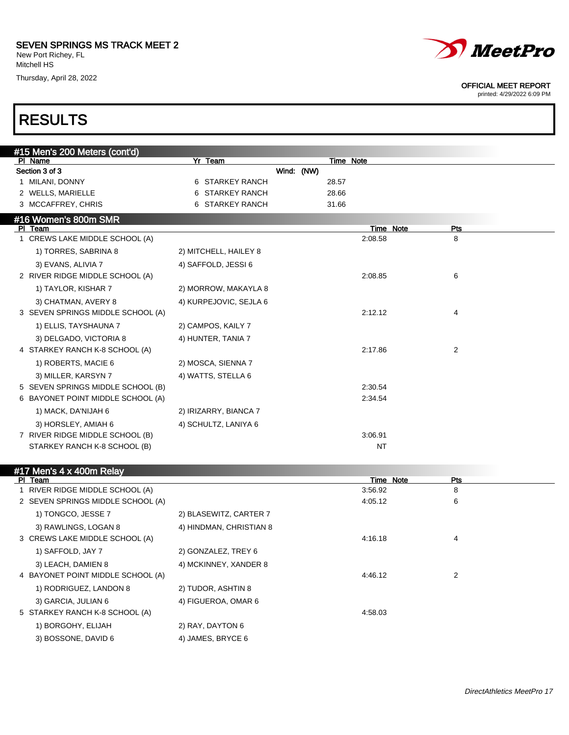Thursday, April 28, 2022



#### OFFICIAL MEET REPORT

printed: 4/29/2022 6:09 PM

| #15 Men's 200 Meters (cont'd)     |                        |            |       |           |     |
|-----------------------------------|------------------------|------------|-------|-----------|-----|
| PI Name                           | Yr Team                |            |       | Time Note |     |
| Section 3 of 3                    |                        | Wind: (NW) |       |           |     |
| 1 MILANI, DONNY                   | 6 STARKEY RANCH        |            | 28.57 |           |     |
| 2 WELLS, MARIELLE                 | 6 STARKEY RANCH        |            | 28.66 |           |     |
| 3 MCCAFFREY, CHRIS                | 6 STARKEY RANCH        |            | 31.66 |           |     |
| #16 Women's 800m SMR              |                        |            |       |           |     |
| PI Team                           |                        |            |       | Time Note | Pts |
| CREWS LAKE MIDDLE SCHOOL (A)      |                        |            |       | 2:08.58   | 8   |
| 1) TORRES, SABRINA 8              | 2) MITCHELL, HAILEY 8  |            |       |           |     |
| 3) EVANS, ALIVIA 7                | 4) SAFFOLD, JESSI 6    |            |       |           |     |
| 2 RIVER RIDGE MIDDLE SCHOOL (A)   |                        |            |       | 2:08.85   | 6   |
| 1) TAYLOR, KISHAR 7               | 2) MORROW, MAKAYLA 8   |            |       |           |     |
| 3) CHATMAN, AVERY 8               | 4) KURPEJOVIC, SEJLA 6 |            |       |           |     |
| 3 SEVEN SPRINGS MIDDLE SCHOOL (A) |                        |            |       | 2:12.12   | 4   |
| 1) ELLIS, TAYSHAUNA 7             | 2) CAMPOS, KAILY 7     |            |       |           |     |
| 3) DELGADO, VICTORIA 8            | 4) HUNTER, TANIA 7     |            |       |           |     |
| 4 STARKEY RANCH K-8 SCHOOL (A)    |                        |            |       | 2:17.86   | 2   |
| 1) ROBERTS, MACIE 6               | 2) MOSCA, SIENNA 7     |            |       |           |     |
| 3) MILLER, KARSYN 7               | 4) WATTS, STELLA 6     |            |       |           |     |
| 5 SEVEN SPRINGS MIDDLE SCHOOL (B) |                        |            |       | 2:30.54   |     |
| 6 BAYONET POINT MIDDLE SCHOOL (A) |                        |            |       | 2:34.54   |     |
| 1) MACK, DA'NIJAH 6               | 2) IRIZARRY, BIANCA 7  |            |       |           |     |
| 3) HORSLEY, AMIAH 6               | 4) SCHULTZ, LANIYA 6   |            |       |           |     |
| 7 RIVER RIDGE MIDDLE SCHOOL (B)   |                        |            |       | 3:06.91   |     |
| STARKEY RANCH K-8 SCHOOL (B)      |                        |            |       | NT        |     |

| #17 Men's 4 x 400m Relay          |                         |           |            |
|-----------------------------------|-------------------------|-----------|------------|
| PI Team                           |                         | Time Note | <b>Pts</b> |
| 1 RIVER RIDGE MIDDLE SCHOOL (A)   |                         | 3:56.92   | 8          |
| 2 SEVEN SPRINGS MIDDLE SCHOOL (A) |                         | 4:05.12   | 6          |
| 1) TONGCO, JESSE 7                | 2) BLASEWITZ, CARTER 7  |           |            |
| 3) RAWLINGS, LOGAN 8              | 4) HINDMAN, CHRISTIAN 8 |           |            |
| 3 CREWS LAKE MIDDLE SCHOOL (A)    |                         | 4:16.18   | 4          |
| 1) SAFFOLD, JAY 7                 | 2) GONZALEZ, TREY 6     |           |            |
| 3) LEACH, DAMIEN 8                | 4) MCKINNEY, XANDER 8   |           |            |
| 4 BAYONET POINT MIDDLE SCHOOL (A) |                         | 4:46.12   | 2          |
| 1) RODRIGUEZ, LANDON 8            | 2) TUDOR, ASHTIN 8      |           |            |
| 3) GARCIA, JULIAN 6               | 4) FIGUEROA, OMAR 6     |           |            |
| 5 STARKEY RANCH K-8 SCHOOL (A)    |                         | 4:58.03   |            |
| 1) BORGOHY, ELIJAH                | 2) RAY, DAYTON 6        |           |            |
| 3) BOSSONE, DAVID 6               | 4) JAMES, BRYCE 6       |           |            |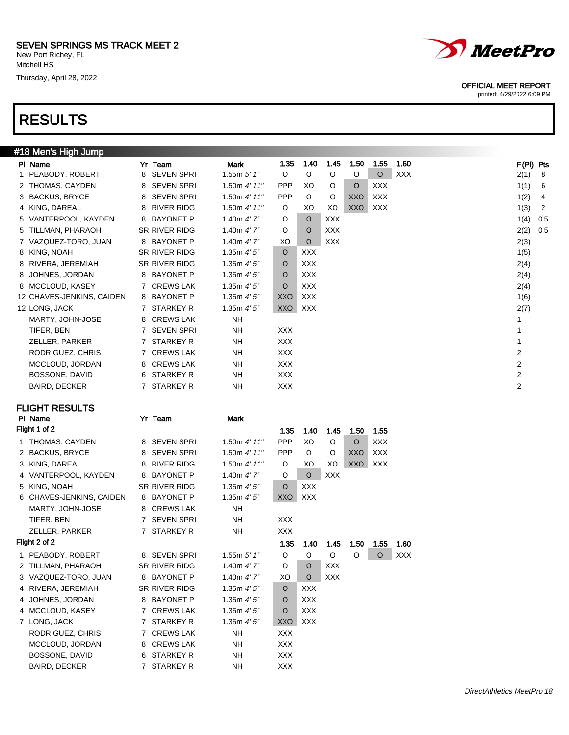## RESULTS

| #18 Men's High Jump       |               |                 |            |            |            |         |            |      |                |     |
|---------------------------|---------------|-----------------|------------|------------|------------|---------|------------|------|----------------|-----|
| PI Name                   | Yr Team       | Mark            | 1.35       | 1.40       | 1.45       | 1.50    | 1.55       | 1.60 | $F(PI)$ Pts    |     |
| 1 PEABODY, ROBERT         | 8 SEVEN SPRI  | 1.55 $m 5' 1''$ | $\circ$    | $\circ$    | $\circ$    | $\circ$ | $\circ$    | XXX  | 2(1)           | -8  |
| 2 THOMAS, CAYDEN          | 8 SEVEN SPRI  | 1.50m $4'$ 11"  | <b>PPP</b> | XO         | O          | $\circ$ | <b>XXX</b> |      | 1(1)           | 6   |
| 3 BACKUS, BRYCE           | 8 SEVEN SPRI  | 1.50m 4' 11"    | <b>PPP</b> | $\circ$    | O          | XXO     | XXX        |      | 1(2)           | 4   |
| 4 KING, DAREAL            | 8 RIVER RIDG  | 1.50m 4' 11"    | $\circ$    | XO         | XO         | XXO     | <b>XXX</b> |      | 1(3)           | 2   |
| 5 VANTERPOOL, KAYDEN      | 8 BAYONET P   | 1.40m $4'7''$   | $\circ$    | $\circ$    | <b>XXX</b> |         |            |      | 1(4)           | 0.5 |
| 5 TILLMAN, PHARAOH        | SR RIVER RIDG | 1.40m $4'$ 7"   | $\circ$    | $\circ$    | <b>XXX</b> |         |            |      | 2(2)           | 0.5 |
| 7 VAZQUEZ-TORO, JUAN      | 8 BAYONET P   | 1.40m $4'7''$   | XO         | $\circ$    | XXX        |         |            |      | 2(3)           |     |
| 8 KING, NOAH              | SR RIVER RIDG | 1.35 $m 4' 5''$ | $\circ$    | XXX        |            |         |            |      | 1(5)           |     |
| 8 RIVERA, JEREMIAH        | SR RIVER RIDG | 1.35 $m 4' 5''$ | $\circ$    | XXX        |            |         |            |      | 2(4)           |     |
| 8 JOHNES, JORDAN          | 8 BAYONET P   | 1.35 $m 4' 5''$ | O          | XXX        |            |         |            |      | 2(4)           |     |
| 8 MCCLOUD, KASEY          | 7 CREWS LAK   | 1.35m $4'5''$   | $\circ$    | <b>XXX</b> |            |         |            |      | 2(4)           |     |
| 12 CHAVES-JENKINS, CAIDEN | 8 BAYONET P   | 1.35m $4'5''$   | XXO        | XXX        |            |         |            |      | 1(6)           |     |
| 12 LONG, JACK             | 7 STARKEY R   | 1.35 $m 4' 5''$ | XXO        | XXX        |            |         |            |      | 2(7)           |     |
| MARTY, JOHN-JOSE          | 8 CREWS LAK   | <b>NH</b>       |            |            |            |         |            |      |                |     |
| TIFER, BEN                | 7 SEVEN SPRI  | <b>NH</b>       | XXX        |            |            |         |            |      |                |     |
| ZELLER, PARKER            | 7 STARKEY R   | <b>NH</b>       | <b>XXX</b> |            |            |         |            |      |                |     |
| RODRIGUEZ, CHRIS          | 7 CREWS LAK   | <b>NH</b>       | XXX        |            |            |         |            |      | 2              |     |
| MCCLOUD, JORDAN           | 8 CREWS LAK   | <b>NH</b>       | XXX        |            |            |         |            |      | 2              |     |
| BOSSONE, DAVID            | 6 STARKEY R   | <b>NH</b>       | XXX        |            |            |         |            |      | $\overline{2}$ |     |
| <b>BAIRD, DECKER</b>      | 7 STARKEY R   | <b>NH</b>       | <b>XXX</b> |            |            |         |            |      | $\overline{2}$ |     |

### FLIGHT RESULTS

|    | PI Name                  | Yr          | Team                 | <b>Mark</b>     |            |            |            |            |            |            |
|----|--------------------------|-------------|----------------------|-----------------|------------|------------|------------|------------|------------|------------|
|    | Flight 1 of 2            |             |                      |                 | 1.35       | 1.40       | 1.45       | 1.50       | 1.55       |            |
|    | 1 THOMAS, CAYDEN         |             | 8 SEVEN SPRI         | 1.50m $4'$ 11"  | <b>PPP</b> | XO         | O          | $\circ$    | <b>XXX</b> |            |
|    | 2 BACKUS, BRYCE          |             | 8 SEVEN SPRI         | 1.50m 4' 11''   | <b>PPP</b> | $\circ$    | O          | <b>XXO</b> | <b>XXX</b> |            |
|    | 3 KING, DAREAL           | 8           | RIVER RIDG           | 1.50m $4'$ 11"  | O          | XO         | XO         | <b>XXO</b> | <b>XXX</b> |            |
|    | 4 VANTERPOOL, KAYDEN     |             | 8 BAYONET P          | 1.40m $4'7''$   | O          | $\circ$    | <b>XXX</b> |            |            |            |
|    | 5 KING, NOAH             |             | <b>SR RIVER RIDG</b> | 1.35m $4'5''$   | O          | <b>XXX</b> |            |            |            |            |
|    | 6 CHAVES-JENKINS, CAIDEN |             | 8 BAYONET P          | 1.35m $4'5''$   | XXO        | <b>XXX</b> |            |            |            |            |
|    | MARTY, JOHN-JOSE         |             | 8 CREWS LAK          | <b>NH</b>       |            |            |            |            |            |            |
|    | TIFER, BEN               |             | 7 SEVEN SPRI         | NH.             | <b>XXX</b> |            |            |            |            |            |
|    | ZELLER, PARKER           |             | 7 STARKEY R          | <b>NH</b>       | <b>XXX</b> |            |            |            |            |            |
|    | Flight 2 of 2            |             |                      |                 | 1.35       | 1.40       | 1.45       | 1.50       | 1.55       | 1.60       |
| 1. | PEABODY, ROBERT          |             | 8 SEVEN SPRI         | 1.55m $5'$ 1"   | $\circ$    | O          | O          | O          | $\circ$    | <b>XXX</b> |
|    | 2 TILLMAN, PHARAOH       |             | <b>SR RIVER RIDG</b> | 1.40m $4'7''$   | O          | $\Omega$   | <b>XXX</b> |            |            |            |
|    | 3 VAZQUEZ-TORO, JUAN     |             | 8 BAYONET P          | 1.40m $4'7''$   | XO         | $\circ$    | <b>XXX</b> |            |            |            |
| 4  | RIVERA, JEREMIAH         |             | <b>SR RIVER RIDG</b> | 1.35m $4'5''$   | O          | <b>XXX</b> |            |            |            |            |
|    | 4 JOHNES, JORDAN         |             | 8 BAYONET P          | 1.35 $m 4' 5''$ | $\circ$    | <b>XXX</b> |            |            |            |            |
|    | 4 MCCLOUD, KASEY         | $7^{\circ}$ | <b>CREWS LAK</b>     | 1.35m 4'5''     | O          | <b>XXX</b> |            |            |            |            |
|    | 7 LONG, JACK             |             | 7 STARKEY R          | 1.35m 4'5''     | XXO        | <b>XXX</b> |            |            |            |            |
|    | RODRIGUEZ, CHRIS         |             | 7 CREWS LAK          | <b>NH</b>       | <b>XXX</b> |            |            |            |            |            |
|    | MCCLOUD, JORDAN          |             | 8 CREWS LAK          | NH.             | XXX        |            |            |            |            |            |
|    | BOSSONE, DAVID           |             | 6 STARKEY R          | <b>NH</b>       | <b>XXX</b> |            |            |            |            |            |
|    | <b>BAIRD, DECKER</b>     |             | 7 STARKEY R          | NΗ              | <b>XXX</b> |            |            |            |            |            |



#### OFFICIAL MEET REPORT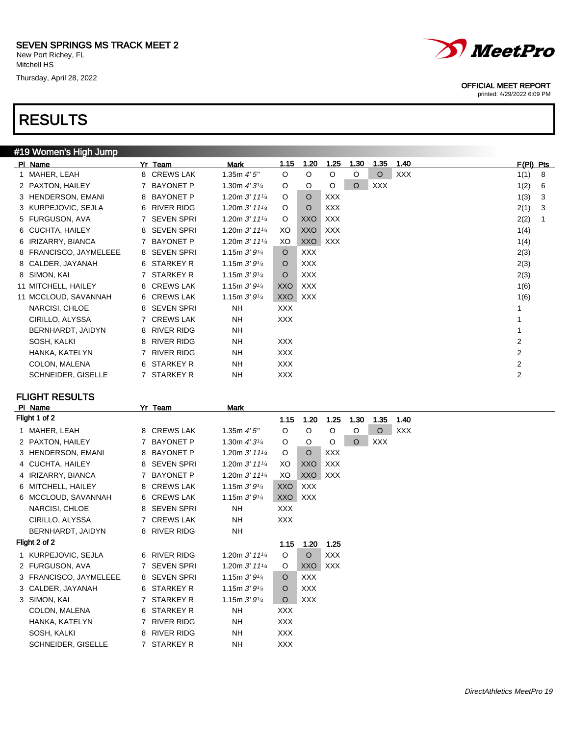## RESULTS

### #19 Women's High Jump

|                    |                                                                                                                                                                                                                                                                      | Mark                                                                                                                                                                                                                                                                                                         | 1.15       | 1.20       | 1.25       | 1.30    | 1.35    | 1.40       |                | $F(PI)$ Pts |
|--------------------|----------------------------------------------------------------------------------------------------------------------------------------------------------------------------------------------------------------------------------------------------------------------|--------------------------------------------------------------------------------------------------------------------------------------------------------------------------------------------------------------------------------------------------------------------------------------------------------------|------------|------------|------------|---------|---------|------------|----------------|-------------|
|                    |                                                                                                                                                                                                                                                                      | 1.35 $m 4' 5''$                                                                                                                                                                                                                                                                                              | $\circ$    | $\circ$    | $\circ$    | $\circ$ | $\circ$ | <b>XXX</b> | 1(1)           | 8           |
|                    |                                                                                                                                                                                                                                                                      | 1.30m $4'3\frac{1}{4}$                                                                                                                                                                                                                                                                                       | O          | $\circ$    | O          | $\circ$ | XXX     |            | 1(2)           | 6           |
|                    |                                                                                                                                                                                                                                                                      | 1.20m $3'$ 11 <sup>1/4</sup>                                                                                                                                                                                                                                                                                 | O          | $\circ$    | <b>XXX</b> |         |         |            | 1(3)           | 3           |
|                    |                                                                                                                                                                                                                                                                      | 1.20m $3'$ 11 $\frac{1}{4}$                                                                                                                                                                                                                                                                                  | O          | $\circ$    | <b>XXX</b> |         |         |            | 2(1)           | 3           |
|                    |                                                                                                                                                                                                                                                                      | 1.20m $3'$ 11 $\frac{1}{4}$                                                                                                                                                                                                                                                                                  | $\circ$    | XXO        | <b>XXX</b> |         |         |            | 2(2)           |             |
|                    |                                                                                                                                                                                                                                                                      | 1.20m $3'$ 11 $\frac{1}{4}$                                                                                                                                                                                                                                                                                  | XO.        | <b>XXO</b> | <b>XXX</b> |         |         |            | 1(4)           |             |
|                    |                                                                                                                                                                                                                                                                      | 1.20m $3'$ 11 $\frac{1}{4}$                                                                                                                                                                                                                                                                                  | XO         | <b>XXO</b> | XXX        |         |         |            | 1(4)           |             |
|                    |                                                                                                                                                                                                                                                                      | 1.15m $3'9\frac{1}{4}$                                                                                                                                                                                                                                                                                       | $\circ$    | <b>XXX</b> |            |         |         |            | 2(3)           |             |
|                    |                                                                                                                                                                                                                                                                      | 1.15m $3'9\frac{1}{4}$                                                                                                                                                                                                                                                                                       | $\circ$    | <b>XXX</b> |            |         |         |            | 2(3)           |             |
|                    |                                                                                                                                                                                                                                                                      | 1.15m $3'9\frac{1}{4}$                                                                                                                                                                                                                                                                                       | $\circ$    | <b>XXX</b> |            |         |         |            | 2(3)           |             |
|                    |                                                                                                                                                                                                                                                                      | 1.15m $3'9\frac{1}{4}$                                                                                                                                                                                                                                                                                       | XXO        | <b>XXX</b> |            |         |         |            | 1(6)           |             |
|                    |                                                                                                                                                                                                                                                                      | 1.15m $3'9\frac{1}{4}$                                                                                                                                                                                                                                                                                       | XXO        | <b>XXX</b> |            |         |         |            | 1(6)           |             |
| NARCISI, CHLOE     |                                                                                                                                                                                                                                                                      | <b>NH</b>                                                                                                                                                                                                                                                                                                    | <b>XXX</b> |            |            |         |         |            |                |             |
| CIRILLO, ALYSSA    |                                                                                                                                                                                                                                                                      | <b>NH</b>                                                                                                                                                                                                                                                                                                    | <b>XXX</b> |            |            |         |         |            |                |             |
| BERNHARDT, JAIDYN  |                                                                                                                                                                                                                                                                      | <b>NH</b>                                                                                                                                                                                                                                                                                                    |            |            |            |         |         |            |                |             |
| SOSH, KALKI        |                                                                                                                                                                                                                                                                      | NH.                                                                                                                                                                                                                                                                                                          | XXX.       |            |            |         |         |            | 2              |             |
| HANKA, KATELYN     |                                                                                                                                                                                                                                                                      | <b>NH</b>                                                                                                                                                                                                                                                                                                    | XXX        |            |            |         |         |            | 2              |             |
| COLON, MALENA      |                                                                                                                                                                                                                                                                      | NH.                                                                                                                                                                                                                                                                                                          | <b>XXX</b> |            |            |         |         |            | $\overline{2}$ |             |
| SCHNEIDER, GISELLE |                                                                                                                                                                                                                                                                      | <b>NH</b>                                                                                                                                                                                                                                                                                                    | <b>XXX</b> |            |            |         |         |            | $\overline{2}$ |             |
|                    | PI Name<br>1 MAHER, LEAH<br>2 PAXTON, HAILEY<br>3 HENDERSON, EMANI<br>3 KURPEJOVIC, SEJLA<br>5 FURGUSON, AVA<br>6 CUCHTA, HAILEY<br>6 IRIZARRY, BIANCA<br>8 FRANCISCO, JAYMELEEE<br>8 CALDER, JAYANAH<br>8 SIMON, KAI<br>11 MITCHELL, HAILEY<br>11 MCCLOUD, SAVANNAH | Yr Team<br>8 CREWS LAK<br>7 BAYONET P<br>8 BAYONET P<br>6 RIVER RIDG<br>7 SEVEN SPRI<br>8 SEVEN SPRI<br>7 BAYONET P<br>8 SEVEN SPRI<br>6 STARKEY R<br>7 STARKEY R<br>8 CREWS LAK<br>6 CREWS LAK<br>8 SEVEN SPRI<br>7 CREWS LAK<br>8 RIVER RIDG<br>8 RIVER RIDG<br>7 RIVER RIDG<br>6 STARKEY R<br>7 STARKEY R |            |            |            |         |         |            |                |             |

### FLIGHT RESULTS

|   | PI Name                | Yr | Team              | Mark                                      |            |            |            |          |            |            |
|---|------------------------|----|-------------------|-------------------------------------------|------------|------------|------------|----------|------------|------------|
|   | Flight 1 of 2          |    |                   |                                           | 1.15       | 1.20       | 1.25       | 1.30     | 1.35       | 1.40       |
| 1 | MAHER, LEAH            |    | 8 CREWS LAK       | 1.35 $m$ 4' 5"                            | O          | O          | O          | O        | $\circ$    | <b>XXX</b> |
|   | 2 PAXTON, HAILEY       |    | 7 BAYONET P       | 1.30m $4'31/4$                            | O          | O          | O          | $\Omega$ | <b>XXX</b> |            |
|   | 3 HENDERSON, EMANI     |    | 8 BAYONET P       | 1.20m $3'$ 11 $\frac{1}{4}$               | O          | $\circ$    | <b>XXX</b> |          |            |            |
|   | 4 CUCHTA, HAILEY       |    | 8 SEVEN SPRI      | 1.20m $3'$ 11 $\frac{1}{4}$               | XO         | XXO        | <b>XXX</b> |          |            |            |
| 4 | IRIZARRY, BIANCA       |    | 7 BAYONET P       | 1.20m $3'$ 11 $\frac{1}{4}$               | XO         | XXO        | <b>XXX</b> |          |            |            |
| 6 | MITCHELL, HAILEY       |    | 8 CREWS LAK       | 1.15m $3'9'4$                             | <b>XXO</b> | <b>XXX</b> |            |          |            |            |
| 6 | MCCLOUD, SAVANNAH      |    | 6 CREWS LAK       | 1.15m $3'9\frac{1}{4}$                    | XXO        | <b>XXX</b> |            |          |            |            |
|   | NARCISI, CHLOE         |    | 8 SEVEN SPRI      | <b>NH</b>                                 | <b>XXX</b> |            |            |          |            |            |
|   | CIRILLO, ALYSSA        |    | 7 CREWS LAK       | NH.                                       | <b>XXX</b> |            |            |          |            |            |
|   | BERNHARDT, JAIDYN      |    | 8 RIVER RIDG      | NH                                        |            |            |            |          |            |            |
|   | Flight 2 of 2          |    |                   |                                           | 1.15       | 1.20       | 1.25       |          |            |            |
|   | 1 KURPEJOVIC, SEJLA    |    | 6 RIVER RIDG      | 1.20m $3'$ 11 <sup>1</sup> / <sub>4</sub> | O          | $\circ$    | <b>XXX</b> |          |            |            |
|   | 2 FURGUSON, AVA        |    | 7 SEVEN SPRI      | 1.20m $3'$ 11 $\frac{1}{4}$               | O          | XXO        | XXX        |          |            |            |
|   | 3 FRANCISCO, JAYMELEEE |    | 8 SEVEN SPRI      | 1.15m $3'9'4$                             | $\circ$    | <b>XXX</b> |            |          |            |            |
|   | 3 CALDER, JAYANAH      |    | 6 STARKEY R       | 1.15m $3'9'4$                             | O          | <b>XXX</b> |            |          |            |            |
|   | 3 SIMON, KAI           |    | 7 STARKEY R       | 1.15m $3'9'4$                             | $\circ$    | <b>XXX</b> |            |          |            |            |
|   | COLON, MALENA          |    | 6 STARKEY R       | <b>NH</b>                                 | <b>XXX</b> |            |            |          |            |            |
|   | HANKA, KATELYN         |    | 7 RIVER RIDG      | <b>NH</b>                                 | XXX        |            |            |          |            |            |
|   | SOSH, KALKI            | 8  | <b>RIVER RIDG</b> | <b>NH</b>                                 | XXX.       |            |            |          |            |            |
|   | SCHNEIDER, GISELLE     |    | 7 STARKEY R       | <b>NH</b>                                 | <b>XXX</b> |            |            |          |            |            |



#### OFFICIAL MEET REPORT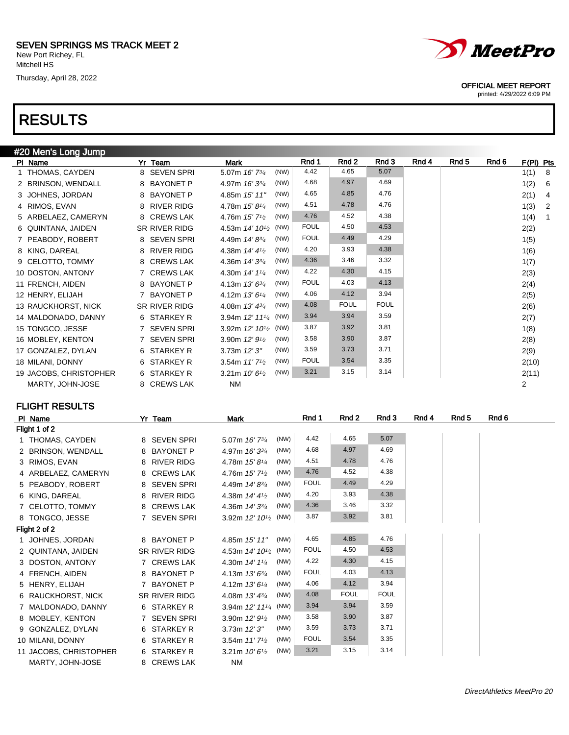## RESULTS

| #20 Men's Long Jump    |                        |                                                 |             |             |             |       |       |       |           |                |
|------------------------|------------------------|-------------------------------------------------|-------------|-------------|-------------|-------|-------|-------|-----------|----------------|
| PI Name                | Yr Team                | <b>Mark</b>                                     | Rnd 1       | Rnd 2       | Rnd 3       | Rnd 4 | Rnd 5 | Rnd 6 | F(PI) Pts |                |
| 1 THOMAS, CAYDEN       | 8 SEVEN SPRI           | (NW)<br>5.07m 16' 73/4                          | 4.42        | 4.65        | 5.07        |       |       |       | 1(1)      | - 8            |
| 2 BRINSON, WENDALL     | 8 BAYONET P            | (NW)<br>4.97m 16' 33/4                          | 4.68        | 4.97        | 4.69        |       |       |       | 1(2)      | - 6            |
| 3 JOHNES, JORDAN       | 8 BAYONET P            | (NW)<br>4.85m 15' 11"                           | 4.65        | 4.85        | 4.76        |       |       |       | 2(1)      | $\overline{4}$ |
| 4 RIMOS, EVAN          | 8 RIVER RIDG           | (NW)<br>4.78m 15' 81/4                          | 4.51        | 4.78        | 4.76        |       |       |       | 1(3)      | $\overline{2}$ |
| 5 ARBELAEZ, CAMERYN    | 8 CREWS LAK            | (NW)<br>4.76m 15' 7 <sup>1</sup> / <sub>2</sub> | 4.76        | 4.52        | 4.38        |       |       |       | 1(4)      | $\overline{1}$ |
| 6 QUINTANA, JAIDEN     | SR RIVER RIDG          | 4.53m $14'$ $10\frac{1}{2}$ (NW)                | <b>FOUL</b> | 4.50        | 4.53        |       |       |       | 2(2)      |                |
| 7 PEABODY, ROBERT      | 8 SEVEN SPRI           | (NW)<br>4.49m 14'83/4                           | <b>FOUL</b> | 4.49        | 4.29        |       |       |       | 1(5)      |                |
| 8 KING, DAREAL         | <b>RIVER RIDG</b><br>8 | (NW)<br>4.38m 14' 41/2                          | 4.20        | 3.93        | 4.38        |       |       |       | 1(6)      |                |
| 9 CELOTTO, TOMMY       | 8 CREWS LAK            | 4.36m 14' 33/4<br>(NW)                          | 4.36        | 3.46        | 3.32        |       |       |       | 1(7)      |                |
| 10 DOSTON, ANTONY      | 7 CREWS LAK            | (NW)<br>4.30m 14' 11/4                          | 4.22        | 4.30        | 4.15        |       |       |       | 2(3)      |                |
| 11 FRENCH, AIDEN       | 8 BAYONET P            | (NW)<br>4.13m $13'6^{3/4}$                      | <b>FOUL</b> | 4.03        | 4.13        |       |       |       | 2(4)      |                |
| 12 HENRY, ELIJAH       | 7 BAYONET P            | (NW)<br>4.12m 13' 61/4                          | 4.06        | 4.12        | 3.94        |       |       |       | 2(5)      |                |
| 13 RAUCKHORST, NICK    | SR RIVER RIDG          | (NW)<br>4.08m 13' 43/4                          | 4.08        | <b>FOUL</b> | <b>FOUL</b> |       |       |       | 2(6)      |                |
| 14 MALDONADO, DANNY    | 6 STARKEY R            | 3.94m $12'$ $11'$ <sub>4</sub> (NW)             | 3.94        | 3.94        | 3.59        |       |       |       | 2(7)      |                |
| 15 TONGCO, JESSE       | 7 SEVEN SPRI           | 3.92m $12'$ $10^{1/2}$ (NW)                     | 3.87        | 3.92        | 3.81        |       |       |       | 1(8)      |                |
| 16 MOBLEY, KENTON      | 7 SEVEN SPRI           | (NW)<br>3.90m 12' 9 <sup>1</sup> / <sub>2</sub> | 3.58        | 3.90        | 3.87        |       |       |       | 2(8)      |                |
| 17 GONZALEZ, DYLAN     | 6 STARKEY R            | (NW)<br>$3.73m$ $12'3''$                        | 3.59        | 3.73        | 3.71        |       |       |       | 2(9)      |                |
| 18 MILANI, DONNY       | 6 STARKEY R            | (NW)<br>3.54m 11' 7 <sup>1</sup> / <sub>2</sub> | <b>FOUL</b> | 3.54        | 3.35        |       |       |       | 2(10)     |                |
| 19 JACOBS, CHRISTOPHER | 6 STARKEY R            | (NW)<br>3.21m $10'6^{1/2}$                      | 3.21        | 3.15        | 3.14        |       |       |       | 2(11)     |                |
| MARTY, JOHN-JOSE       | 8 CREWS LAK            | <b>NM</b>                                       |             |             |             |       |       |       | 2         |                |

FLIGHT RESULTS

| PI Name                | Yr Team       | Mark                                          |      | Rnd 1       | Rnd 2       | Rnd 3       | Rnd 4 | Rnd 5 | Rnd 6 |
|------------------------|---------------|-----------------------------------------------|------|-------------|-------------|-------------|-------|-------|-------|
| Flight 1 of 2          |               |                                               |      |             |             |             |       |       |       |
| 1 THOMAS, CAYDEN       | 8 SEVEN SPRI  | 5.07m 16' 73/4                                | (NW) | 4.42        | 4.65        | 5.07        |       |       |       |
| 2 BRINSON, WENDALL     | 8 BAYONET P   | 4.97m 16' 33/4                                | (NW) | 4.68        | 4.97        | 4.69        |       |       |       |
| 3 RIMOS, EVAN          | 8 RIVER RIDG  | 4.78m 15'81/4                                 | (NW) | 4.51        | 4.78        | 4.76        |       |       |       |
| 4 ARBELAEZ, CAMERYN    | 8 CREWS LAK   | 4.76m $15'$ 7 <sup>1/2</sup>                  | (NW) | 4.76        | 4.52        | 4.38        |       |       |       |
| 5 PEABODY, ROBERT      | 8 SEVEN SPRI  | 4.49m 14'83/4                                 | (NW) | <b>FOUL</b> | 4.49        | 4.29        |       |       |       |
| 6 KING, DAREAL         | 8 RIVER RIDG  | 4.38m $14'$ 4 $\frac{1}{2}$                   | (NW) | 4.20        | 3.93        | 4.38        |       |       |       |
| 7 CELOTTO, TOMMY       | 8 CREWS LAK   | 4.36m 14' 33/4                                | (NW) | 4.36        | 3.46        | 3.32        |       |       |       |
| 8 TONGCO, JESSE        | 7 SEVEN SPRI  | 3.92m 12' 10 <sup>1</sup> / <sub>2</sub> (NW) |      | 3.87        | 3.92        | 3.81        |       |       |       |
| Flight 2 of 2          |               |                                               |      |             |             |             |       |       |       |
| 1 JOHNES, JORDAN       | 8 BAYONET P   | 4.85m 15' 11"                                 | (NW) | 4.65        | 4.85        | 4.76        |       |       |       |
| 2 QUINTANA, JAIDEN     | SR RIVER RIDG | 4.53m 14' 10 <sup>1</sup> / <sub>2</sub> (NW) |      | <b>FOUL</b> | 4.50        | 4.53        |       |       |       |
| 3 DOSTON, ANTONY       | 7 CREWS LAK   | 4.30m 14' 11/4                                | (NW) | 4.22        | 4.30        | 4.15        |       |       |       |
| 4 FRENCH, AIDEN        | 8 BAYONET P   | 4.13m $13'6^{3/4}$                            | (NW) | <b>FOUL</b> | 4.03        | 4.13        |       |       |       |
| 5 HENRY, ELIJAH        | 7 BAYONET P   | 4.12m 13' 61/4                                | (NW) | 4.06        | 4.12        | 3.94        |       |       |       |
| 6 RAUCKHORST, NICK     | SR RIVER RIDG | 4.08m $13' 4^{3/4}$                           | (NW) | 4.08        | <b>FOUL</b> | <b>FOUL</b> |       |       |       |
| 7 MALDONADO, DANNY     | 6 STARKEY R   | 3.94m 12' 111/4 (NW)                          |      | 3.94        | 3.94        | 3.59        |       |       |       |
| 8 MOBLEY, KENTON       | 7 SEVEN SPRI  | 3.90m 12' 9 <sup>1</sup> / <sub>2</sub>       | (NW) | 3.58        | 3.90        | 3.87        |       |       |       |
| 9 GONZALEZ, DYLAN      | 6 STARKEY R   | $3.73m$ $12'3''$                              | (NW) | 3.59        | 3.73        | 3.71        |       |       |       |
| 10 MILANI, DONNY       | 6 STARKEY R   | 3.54m $11'7'2$                                | (NW) | <b>FOUL</b> | 3.54        | 3.35        |       |       |       |
| 11 JACOBS, CHRISTOPHER | 6 STARKEY R   | 3.21m $10'6^{1/2}$                            | (NW) | 3.21        | 3.15        | 3.14        |       |       |       |
| MARTY, JOHN-JOSE       | 8 CREWS LAK   | NM                                            |      |             |             |             |       |       |       |



OFFICIAL MEET REPORT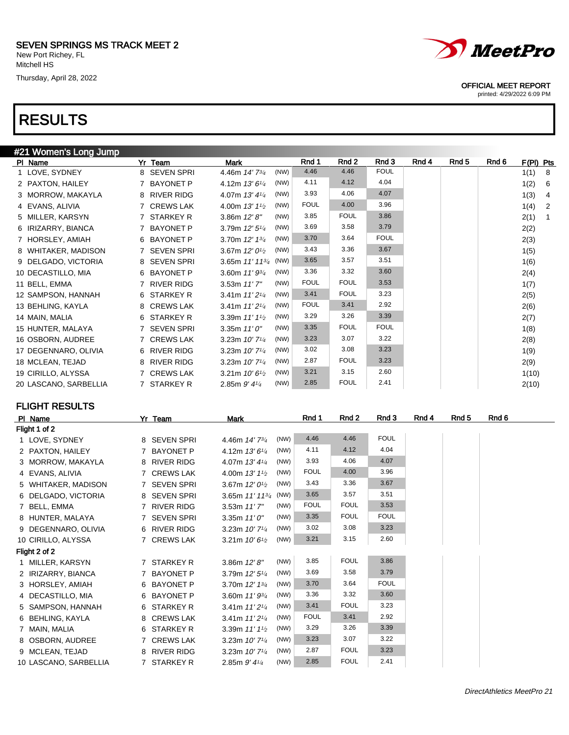## RESULTS

| #21 Women's Long Jump |                        |                                                   |             |             |             |       |       |       |           |                |
|-----------------------|------------------------|---------------------------------------------------|-------------|-------------|-------------|-------|-------|-------|-----------|----------------|
| PI Name               | Yr Team                | <b>Mark</b>                                       | Rnd 1       | Rnd 2       | Rnd 3       | Rnd 4 | Rnd 5 | Rnd 6 | F(PI) Pts |                |
| 1 LOVE, SYDNEY        | 8 SEVEN SPRI           | (NW)<br>4.46m 14' 73/4                            | 4.46        | 4.46        | <b>FOUL</b> |       |       |       | 1(1)      | - 8            |
| 2 PAXTON, HAILEY      | 7 BAYONET P            | (NW)<br>4.12m 13' 61/4                            | 4.11        | 4.12        | 4.04        |       |       |       | 1(2)      | - 6            |
| 3 MORROW, MAKAYLA     | 8 RIVER RIDG           | (NW)<br>4.07m 13' 41/4                            | 3.93        | 4.06        | 4.07        |       |       |       | 1(3)      | $\overline{4}$ |
| 4 EVANS, ALIVIA       | 7 CREWS LAK            | (NW)<br>4.00m 13' 11/2                            | <b>FOUL</b> | 4.00        | 3.96        |       |       |       | 1(4)      | $\overline{2}$ |
| 5 MILLER, KARSYN      | 7 STARKEY R            | (NW)<br>3.86 $m$ 12' $8$ "                        | 3.85        | <b>FOUL</b> | 3.86        |       |       |       | 2(1)      | -1             |
| 6 IRIZARRY, BIANCA    | 7 BAYONET P            | 3.79m 12' 51/4<br>(NW)                            | 3.69        | 3.58        | 3.79        |       |       |       | 2(2)      |                |
| 7 HORSLEY, AMIAH      | 6 BAYONET P            | (NW)<br>3.70m 12' 13/4                            | 3.70        | 3.64        | <b>FOUL</b> |       |       |       | 2(3)      |                |
| 8 WHITAKER, MADISON   | <b>SEVEN SPRI</b>      | (NW)<br>3.67m 12' 0 <sup>1</sup> / <sub>2</sub>   | 3.43        | 3.36        | 3.67        |       |       |       | 1(5)      |                |
| 9 DELGADO, VICTORIA   | 8 SEVEN SPRI           | 3.65m $11'$ $11^{3/4}$ (NW)                       | 3.65        | 3.57        | 3.51        |       |       |       | 1(6)      |                |
| 10 DECASTILLO, MIA    | 6 BAYONET P            | 3.60m 11' 93/4<br>(NW)                            | 3.36        | 3.32        | 3.60        |       |       |       | 2(4)      |                |
| 11 BELL, EMMA         | 7 RIVER RIDG           | (NW)<br>$3.53m$ 11' $7''$                         | <b>FOUL</b> | <b>FOUL</b> | 3.53        |       |       |       | 1(7)      |                |
| 12 SAMPSON, HANNAH    | 6 STARKEY R            | (NW)<br>3.41m 11' 2 <sup>1/4</sup>                | 3.41        | <b>FOUL</b> | 3.23        |       |       |       | 2(5)      |                |
| 13 BEHLING, KAYLA     | 8 CREWS LAK            | (NW)<br>3.41m $11'2\frac{1}{4}$                   | <b>FOUL</b> | 3.41        | 2.92        |       |       |       | 2(6)      |                |
| 14 MAIN, MALIA        | 6 STARKEY R            | (NW)<br>3.39m 11' 11/2                            | 3.29        | 3.26        | 3.39        |       |       |       | 2(7)      |                |
| 15 HUNTER, MALAYA     | 7 SEVEN SPRI           | (NW)<br>3.35m $11'0''$                            | 3.35        | <b>FOUL</b> | <b>FOUL</b> |       |       |       | 1(8)      |                |
| 16 OSBORN, AUDREE     | 7 CREWS LAK            | (NW)<br>3.23m $10'$ 7 <sup><math>1/4</math></sup> | 3.23        | 3.07        | 3.22        |       |       |       | 2(8)      |                |
| 17 DEGENNARO, OLIVIA  | 6 RIVER RIDG           | (NW)<br>3.23m 10' 7 <sup>1/4</sup>                | 3.02        | 3.08        | 3.23        |       |       |       | 1(9)      |                |
| 18 MCLEAN, TEJAD      | <b>RIVER RIDG</b><br>8 | (NW)<br>3.23m 10' 7 <sup>1/4</sup>                | 2.87        | <b>FOUL</b> | 3.23        |       |       |       | 2(9)      |                |
| 19 CIRILLO, ALYSSA    | 7 CREWS LAK            | (NW)<br>3.21m $10'6\frac{1}{2}$                   | 3.21        | 3.15        | 2.60        |       |       |       | 1(10)     |                |
| 20 LASCANO, SARBELLIA | 7 STARKEY R            | (NW)<br>2.85m $9'$ 4 $\frac{1}{4}$                | 2.85        | <b>FOUL</b> | 2.41        |       |       |       | 2(10)     |                |

FLIGHT RESULTS

| PI Name               | Yr Team      | Mark                                      |      | Rnd 1       | Rnd 2       | Rnd 3       | Rnd 4 | Rnd 5 | Rnd 6 |
|-----------------------|--------------|-------------------------------------------|------|-------------|-------------|-------------|-------|-------|-------|
| Flight 1 of 2         |              |                                           |      |             |             |             |       |       |       |
| 1 LOVE, SYDNEY        | 8 SEVEN SPRI | 4.46m 14' 73/4                            | (NW) | 4.46        | 4.46        | <b>FOUL</b> |       |       |       |
| 2 PAXTON, HAILEY      | 7 BAYONET P  | 4.12m $13'6''$                            | (NW) | 4.11        | 4.12        | 4.04        |       |       |       |
| 3 MORROW, MAKAYLA     | 8 RIVER RIDG | 4.07m $13'4\frac{1}{4}$                   | (NW) | 3.93        | 4.06        | 4.07        |       |       |       |
| 4 EVANS, ALIVIA       | 7 CREWS LAK  | 4.00m $13'11_2$                           | (NW) | <b>FOUL</b> | 4.00        | 3.96        |       |       |       |
| 5 WHITAKER, MADISON   | 7 SEVEN SPRI | 3.67m $12'0^{1/2}$                        | (NW) | 3.43        | 3.36        | 3.67        |       |       |       |
| 6 DELGADO, VICTORIA   | 8 SEVEN SPRI | 3.65m 11' 113/4 (NW)                      |      | 3.65        | 3.57        | 3.51        |       |       |       |
| 7 BELL, EMMA          | 7 RIVER RIDG | $3.53m$ 11' 7"                            | (NW) | <b>FOUL</b> | <b>FOUL</b> | 3.53        |       |       |       |
| 8 HUNTER, MALAYA      | 7 SEVEN SPRI | 3.35m $11'0''$                            | (NW) | 3.35        | <b>FOUL</b> | <b>FOUL</b> |       |       |       |
| 9 DEGENNARO, OLIVIA   | 6 RIVER RIDG | 3.23m $10'$ 7 <sup><math>1/4</math></sup> | (NW) | 3.02        | 3.08        | 3.23        |       |       |       |
| 10 CIRILLO, ALYSSA    | 7 CREWS LAK  | 3.21m $10'6\frac{1}{2}$                   | (NW) | 3.21        | 3.15        | 2.60        |       |       |       |
| Flight 2 of 2         |              |                                           |      |             |             |             |       |       |       |
| 1 MILLER, KARSYN      | 7 STARKEY R  | 3.86m $12'8''$                            | (NW) | 3.85        | <b>FOUL</b> | 3.86        |       |       |       |
| 2 IRIZARRY, BIANCA    | 7 BAYONET P  | 3.79m $12'5\frac{1}{4}$                   | (NW) | 3.69        | 3.58        | 3.79        |       |       |       |
| 3 HORSLEY, AMIAH      | 6 BAYONET P  | 3.70m 12' 13/4                            | (NW) | 3.70        | 3.64        | <b>FOUL</b> |       |       |       |
| 4 DECASTILLO, MIA     | 6 BAYONET P  | 3.60m $11'9^{3/4}$                        | (NW) | 3.36        | 3.32        | 3.60        |       |       |       |
| 5 SAMPSON, HANNAH     | 6 STARKEY R  | 3.41m $11'2\frac{1}{4}$                   | (NW) | 3.41        | <b>FOUL</b> | 3.23        |       |       |       |
| 6 BEHLING, KAYLA      | 8 CREWS LAK  | 3.41m $11'2^{1/4}$                        | (NW) | <b>FOUL</b> | 3.41        | 2.92        |       |       |       |
| 7 MAIN, MALIA         | 6 STARKEY R  | 3.39m $11'11_2$                           | (NW) | 3.29        | 3.26        | 3.39        |       |       |       |
| 8 OSBORN, AUDREE      | 7 CREWS LAK  | 3.23m $10'$ 7 <sup>1/4</sup>              | (NW) | 3.23        | 3.07        | 3.22        |       |       |       |
| 9 MCLEAN, TEJAD       | 8 RIVER RIDG | 3.23m $10'$ 7 <sup>1/4</sup>              | (NW) | 2.87        | <b>FOUL</b> | 3.23        |       |       |       |
| 10 LASCANO, SARBELLIA | 7 STARKEY R  | 2.85m $9'4\frac{1}{4}$                    | (NW) | 2.85        | <b>FOUL</b> | 2.41        |       |       |       |



OFFICIAL MEET REPORT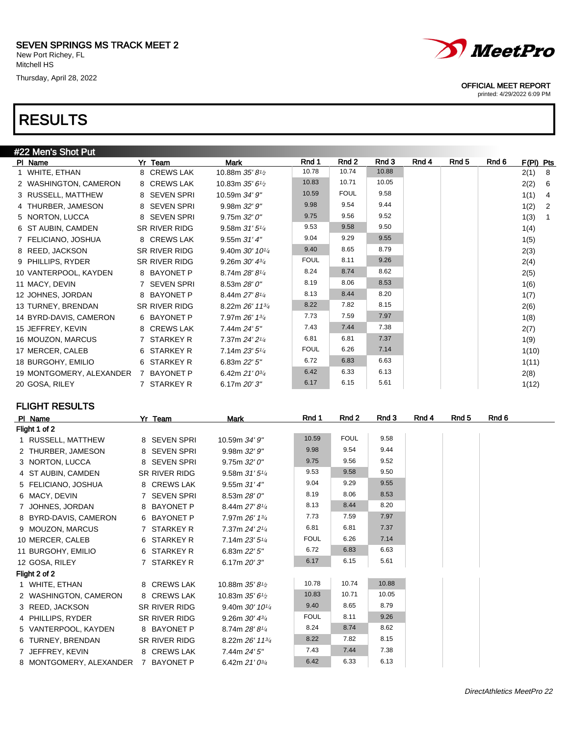## RESULTS

| #22 Men's Shot Put                   |                      |                 |             |             |       |       |       |       |           |                |
|--------------------------------------|----------------------|-----------------|-------------|-------------|-------|-------|-------|-------|-----------|----------------|
| PI Name                              | Yr Team              | <b>Mark</b>     | Rnd 1       | Rnd 2       | Rnd 3 | Rnd 4 | Rnd 5 | Rnd 6 | F(PI) Pts |                |
| 1 WHITE, ETHAN                       | 8 CREWS LAK          | 10.88m 35' 81/2 | 10.78       | 10.74       | 10.88 |       |       |       | 2(1)      | - 8            |
| 2 WASHINGTON, CAMERON                | 8 CREWS LAK          | 10.83m 35' 61/2 | 10.83       | 10.71       | 10.05 |       |       |       | 2(2)      | - 6            |
| 3 RUSSELL, MATTHEW                   | 8 SEVEN SPRI         | 10.59m 34' 9"   | 10.59       | <b>FOUL</b> | 9.58  |       |       |       | 1(1)      | $\overline{4}$ |
| 4 THURBER, JAMESON                   | 8 SEVEN SPRI         | 9.98m 32' 9"    | 9.98        | 9.54        | 9.44  |       |       |       | 1(2)      | $\overline{2}$ |
| 5 NORTON, LUCCA                      | 8 SEVEN SPRI         | 9.75m 32'0''    | 9.75        | 9.56        | 9.52  |       |       |       | 1(3)      | $\overline{1}$ |
| 6 ST AUBIN, CAMDEN                   | SR RIVER RIDG        | 9.58m $31'5''$  | 9.53        | 9.58        | 9.50  |       |       |       | 1(4)      |                |
| 7 FELICIANO, JOSHUA                  | 8 CREWS LAK          | 9.55m 31' 4"    | 9.04        | 9.29        | 9.55  |       |       |       | 1(5)      |                |
| 8 REED, JACKSON                      | <b>SR RIVER RIDG</b> | 9.40m 30' 101/4 | 9.40        | 8.65        | 8.79  |       |       |       | 2(3)      |                |
| 9 PHILLIPS, RYDER                    | SR RIVER RIDG        | 9.26m 30' 43/4  | <b>FOUL</b> | 8.11        | 9.26  |       |       |       | 2(4)      |                |
| 10 VANTERPOOL, KAYDEN                | 8 BAYONET P          | 8.74m 28' 81/4  | 8.24        | 8.74        | 8.62  |       |       |       | 2(5)      |                |
| 11 MACY, DEVIN                       | 7 SEVEN SPRI         | 8.53m 28' 0"    | 8.19        | 8.06        | 8.53  |       |       |       | 1(6)      |                |
| 12 JOHNES, JORDAN                    | 8 BAYONET P          | 8.44m 27' 81/4  | 8.13        | 8.44        | 8.20  |       |       |       | 1(7)      |                |
| 13 TURNEY, BRENDAN                   | SR RIVER RIDG        | 8.22m 26' 113/4 | 8.22        | 7.82        | 8.15  |       |       |       | 2(6)      |                |
| 14 BYRD-DAVIS, CAMERON               | 6 BAYONET P          | 7.97m 26' 13/4  | 7.73        | 7.59        | 7.97  |       |       |       | 1(8)      |                |
| 15 JEFFREY, KEVIN                    | 8 CREWS LAK          | 7.44m 24' 5"    | 7.43        | 7.44        | 7.38  |       |       |       | 2(7)      |                |
| 16 MOUZON, MARCUS                    | 7 STARKEY R          | 7.37m 24' 21/4  | 6.81        | 6.81        | 7.37  |       |       |       | 1(9)      |                |
| 17 MERCER, CALEB                     | 6 STARKEY R          | 7.14m 23' 51/4  | <b>FOUL</b> | 6.26        | 7.14  |       |       |       | 1(10)     |                |
| 18 BURGOHY, EMILIO                   | 6 STARKEY R          | 6.83m 22' 5"    | 6.72        | 6.83        | 6.63  |       |       |       | 1(11)     |                |
| 19 MONTGOMERY, ALEXANDER 7 BAYONET P |                      | 6.42m 21' 03/4  | 6.42        | 6.33        | 6.13  |       |       |       | 2(8)      |                |
| 20 GOSA, RILEY                       | 7 STARKEY R          | 6.17m 20'3"     | 6.17        | 6.15        | 5.61  |       |       |       | 1(12)     |                |

### FLIGHT RESULTS

| PI Name                             | Yr Team       | Mark                                       | Rnd 1       | Rnd 2       | Rnd 3 | Rnd 4 | Rnd 5 | Rnd 6 |
|-------------------------------------|---------------|--------------------------------------------|-------------|-------------|-------|-------|-------|-------|
| Flight 1 of 2                       |               |                                            |             |             |       |       |       |       |
| 1 RUSSELL, MATTHEW                  | 8 SEVEN SPRI  | 10.59m 34' 9"                              | 10.59       | <b>FOUL</b> | 9.58  |       |       |       |
| 2 THURBER, JAMESON                  | 8 SEVEN SPRI  | 9.98m 32' 9"                               | 9.98        | 9.54        | 9.44  |       |       |       |
| 3 NORTON, LUCCA                     | 8 SEVEN SPRI  | 9.75m 32'0''                               | 9.75        | 9.56        | 9.52  |       |       |       |
| 4 ST AUBIN, CAMDEN                  | SR RIVER RIDG | 9.58m $31'5\frac{1}{4}$                    | 9.53        | 9.58        | 9.50  |       |       |       |
| 5 FELICIANO, JOSHUA                 | 8 CREWS LAK   | 9.55m 31'4"                                | 9.04        | 9.29        | 9.55  |       |       |       |
| 6 MACY, DEVIN                       | 7 SEVEN SPRI  | 8.53m 28' 0"                               | 8.19        | 8.06        | 8.53  |       |       |       |
| 7 JOHNES, JORDAN                    | 8 BAYONET P   | 8.44m 27' 81/4                             | 8.13        | 8.44        | 8.20  |       |       |       |
| 8 BYRD-DAVIS, CAMERON               | 6 BAYONET P   | 7.97m 26' 13/4                             | 7.73        | 7.59        | 7.97  |       |       |       |
| 9 MOUZON, MARCUS                    | 7 STARKEY R   | 7.37m 24' 21/4                             | 6.81        | 6.81        | 7.37  |       |       |       |
| 10 MERCER, CALEB                    | 6 STARKEY R   | 7.14m 23' 51/4                             | <b>FOUL</b> | 6.26        | 7.14  |       |       |       |
| 11 BURGOHY, EMILIO                  | 6 STARKEY R   | 6.83m 22' 5"                               | 6.72        | 6.83        | 6.63  |       |       |       |
| 12 GOSA, RILEY                      | 7 STARKEY R   | 6.17m 20' 3"                               | 6.17        | 6.15        | 5.61  |       |       |       |
| Flight 2 of 2                       |               |                                            |             |             |       |       |       |       |
| 1 WHITE, ETHAN                      | 8 CREWS LAK   | 10.88m 35' 81/2                            | 10.78       | 10.74       | 10.88 |       |       |       |
| 2 WASHINGTON, CAMERON               | 8 CREWS LAK   | 10.83m 35' 61/2                            | 10.83       | 10.71       | 10.05 |       |       |       |
| 3 REED, JACKSON                     | SR RIVER RIDG | 9.40m $30'$ 10 <sup><math>1/4</math></sup> | 9.40        | 8.65        | 8.79  |       |       |       |
| 4 PHILLIPS, RYDER                   | SR RIVER RIDG | 9.26m $30'$ $4\frac{3}{4}$                 | <b>FOUL</b> | 8.11        | 9.26  |       |       |       |
| 5 VANTERPOOL, KAYDEN                | 8 BAYONET P   | 8.74m 28' 81/4                             | 8.24        | 8.74        | 8.62  |       |       |       |
| 6 TURNEY, BRENDAN                   | SR RIVER RIDG | 8.22m 26' 113/4                            | 8.22        | 7.82        | 8.15  |       |       |       |
| 7 JEFFREY, KEVIN                    | 8 CREWS LAK   | 7.44m 24' 5"                               | 7.43        | 7.44        | 7.38  |       |       |       |
| 8 MONTGOMERY, ALEXANDER 7 BAYONET P |               | 6.42m $21'0^{3/4}$                         | 6.42        | 6.33        | 6.13  |       |       |       |



### OFFICIAL MEET REPORT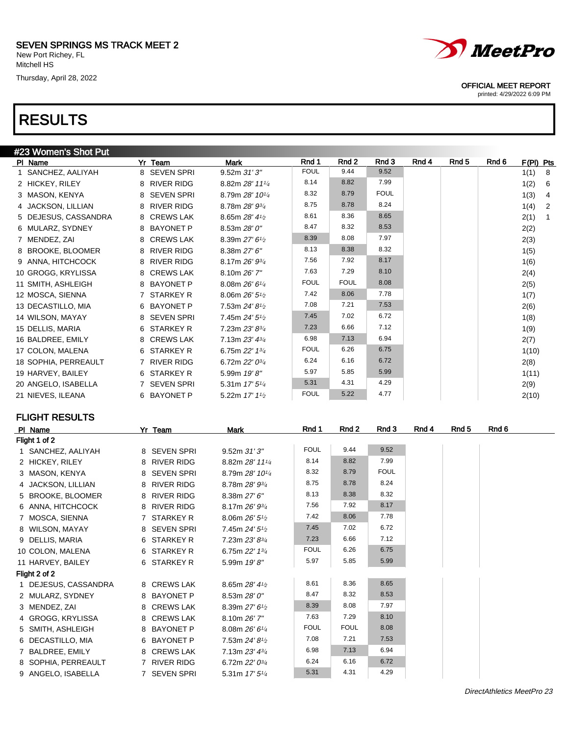## RESULTS

|                     | #23 Women's Shot Put |              |                                         |             |             |             |       |       |       |           |                |
|---------------------|----------------------|--------------|-----------------------------------------|-------------|-------------|-------------|-------|-------|-------|-----------|----------------|
| PI Name             |                      | Yr Team      | <b>Mark</b>                             | Rnd 1       | Rnd 2       | Rnd 3       | Rnd 4 | Rnd 5 | Rnd 6 | F(PI) Pts |                |
|                     | 1 SANCHEZ, AALIYAH   | 8 SEVEN SPRI | 9.52m 31'3"                             | <b>FOUL</b> | 9.44        | 9.52        |       |       |       | 1(1)      | - 8            |
| 2 HICKEY, RILEY     |                      | 8 RIVER RIDG | 8.82m 28' 111/4                         | 8.14        | 8.82        | 7.99        |       |       |       | 1(2)      | - 6            |
| 3 MASON, KENYA      |                      | 8 SEVEN SPRI | 8.79m 28' 101/4                         | 8.32        | 8.79        | <b>FOUL</b> |       |       |       | 1(3)      | $\overline{4}$ |
| 4 JACKSON, LILLIAN  |                      | 8 RIVER RIDG | 8.78m 28' 93/4                          | 8.75        | 8.78        | 8.24        |       |       |       | 1(4)      | $\overline{2}$ |
|                     | 5 DEJESUS, CASSANDRA | 8 CREWS LAK  | 8.65m $28'$ 4 $\frac{1}{2}$             | 8.61        | 8.36        | 8.65        |       |       |       | 2(1)      | $\overline{1}$ |
| 6 MULARZ, SYDNEY    |                      | 8 BAYONET P  | 8.53m 28' 0"                            | 8.47        | 8.32        | 8.53        |       |       |       | 2(2)      |                |
| 7 MENDEZ, ZAI       |                      | 8 CREWS LAK  | 8.39m 27' 6 <sup>1</sup> / <sub>2</sub> | 8.39        | 8.08        | 7.97        |       |       |       | 2(3)      |                |
|                     | 8 BROOKE, BLOOMER    | 8 RIVER RIDG | 8.38m 27' 6"                            | 8.13        | 8.38        | 8.32        |       |       |       | 1(5)      |                |
|                     | 9 ANNA, HITCHCOCK    | 8 RIVER RIDG | 8.17m 26' 93/4                          | 7.56        | 7.92        | 8.17        |       |       |       | 1(6)      |                |
| 10 GROGG, KRYLISSA  |                      | 8 CREWS LAK  | 8.10m 26' 7"                            | 7.63        | 7.29        | 8.10        |       |       |       | 2(4)      |                |
| 11 SMITH, ASHLEIGH  |                      | 8 BAYONET P  | 8.08m 26' 61/4                          | <b>FOUL</b> | <b>FOUL</b> | 8.08        |       |       |       | 2(5)      |                |
| 12 MOSCA, SIENNA    |                      | STARKEY R    | 8.06m 26' 5 <sup>1</sup> / <sub>2</sub> | 7.42        | 8.06        | 7.78        |       |       |       | 1(7)      |                |
| 13 DECASTILLO, MIA  |                      | 6 BAYONET P  | 7.53m 24' 8 <sup>1/2</sup>              | 7.08        | 7.21        | 7.53        |       |       |       | 2(6)      |                |
| 14 WILSON, MAYAY    |                      | 8 SEVEN SPRI | 7.45m 24' 5 <sup>1</sup> / <sub>2</sub> | 7.45        | 7.02        | 6.72        |       |       |       | 1(8)      |                |
| 15 DELLIS, MARIA    |                      | 6 STARKEY R  | 7.23m 23' 83/4                          | 7.23        | 6.66        | 7.12        |       |       |       | 1(9)      |                |
| 16 BALDREE, EMILY   |                      | 8 CREWS LAK  | 7.13m $23'$ 4 $\frac{3}{4}$             | 6.98        | 7.13        | 6.94        |       |       |       | 2(7)      |                |
| 17 COLON, MALENA    |                      | 6 STARKEY R  | 6.75m 22' 13/4                          | <b>FOUL</b> | 6.26        | 6.75        |       |       |       | 1(10)     |                |
|                     | 18 SOPHIA, PERREAULT | 7 RIVER RIDG | 6.72m 22' 03/4                          | 6.24        | 6.16        | 6.72        |       |       |       | 2(8)      |                |
| 19 HARVEY, BAILEY   |                      | 6 STARKEY R  | 5.99m 19'8"                             | 5.97        | 5.85        | 5.99        |       |       |       | 1(11)     |                |
| 20 ANGELO, ISABELLA |                      | 7 SEVEN SPRI | 5.31m $17'5''/4$                        | 5.31        | 4.31        | 4.29        |       |       |       | 2(9)      |                |
| 21 NIEVES, ILEANA   |                      | 6 BAYONET P  | 5.22m 17' 11/2                          | <b>FOUL</b> | 5.22        | 4.77        |       |       |       | 2(10)     |                |

### FLIGHT RESULTS

| PI Name              | Yr Team      | Mark                        | Rnd 1       | Rnd 2       | Rnd 3       | Rnd 4 | Rnd <sub>5</sub> | Rnd 6 |
|----------------------|--------------|-----------------------------|-------------|-------------|-------------|-------|------------------|-------|
| Flight 1 of 2        |              |                             |             |             |             |       |                  |       |
| 1 SANCHEZ, AALIYAH   | 8 SEVEN SPRI | 9.52m31'3''                 | <b>FOUL</b> | 9.44        | 9.52        |       |                  |       |
| 2 HICKEY, RILEY      | 8 RIVER RIDG | 8.82m 28' 111/4             | 8.14        | 8.82        | 7.99        |       |                  |       |
| 3 MASON, KENYA       | 8 SEVEN SPRI | 8.79m 28' 101/4             | 8.32        | 8.79        | <b>FOUL</b> |       |                  |       |
| 4 JACKSON, LILLIAN   | 8 RIVER RIDG | 8.78m 28' 93/4              | 8.75        | 8.78        | 8.24        |       |                  |       |
| 5 BROOKE, BLOOMER    | 8 RIVER RIDG | 8.38m 27' 6"                | 8.13        | 8.38        | 8.32        |       |                  |       |
| 6 ANNA, HITCHCOCK    | 8 RIVER RIDG | 8.17m 26' 93/4              | 7.56        | 7.92        | 8.17        |       |                  |       |
| 7 MOSCA, SIENNA      | 7 STARKEY R  | 8.06m $26'5\frac{1}{2}$     | 7.42        | 8.06        | 7.78        |       |                  |       |
| 8 WILSON, MAYAY      | 8 SEVEN SPRI | 7.45m $24'5''2$             | 7.45        | 7.02        | 6.72        |       |                  |       |
| 9 DELLIS, MARIA      | 6 STARKEY R  | 7.23m 23' 83/4              | 7.23        | 6.66        | 7.12        |       |                  |       |
| 10 COLON, MALENA     | 6 STARKEY R  | 6.75m $22'$ 1 $\frac{3}{4}$ | <b>FOUL</b> | 6.26        | 6.75        |       |                  |       |
| 11 HARVEY, BAILEY    | 6 STARKEY R  | 5.99m 19'8"                 | 5.97        | 5.85        | 5.99        |       |                  |       |
| Flight 2 of 2        |              |                             |             |             |             |       |                  |       |
| 1 DEJESUS, CASSANDRA | 8 CREWS LAK  | 8.65m 28' 41/2              | 8.61        | 8.36        | 8.65        |       |                  |       |
| 2 MULARZ, SYDNEY     | 8 BAYONET P  | 8.53m 28' 0"                | 8.47        | 8.32        | 8.53        |       |                  |       |
| 3 MENDEZ, ZAI        | 8 CREWS LAK  | 8.39m $27'6\frac{1}{2}$     | 8.39        | 8.08        | 7.97        |       |                  |       |
| 4 GROGG, KRYLISSA    | 8 CREWS LAK  | 8.10m 26' 7"                | 7.63        | 7.29        | 8.10        |       |                  |       |
| 5 SMITH, ASHLEIGH    | 8 BAYONET P  | 8.08m 26' 61/4              | <b>FOUL</b> | <b>FOUL</b> | 8.08        |       |                  |       |
| 6 DECASTILLO, MIA    | 6 BAYONET P  | 7.53m $24'8\frac{1}{2}$     | 7.08        | 7.21        | 7.53        |       |                  |       |
| 7 BALDREE, EMILY     | 8 CREWS LAK  | 7.13m $23'$ 4 $\frac{3}{4}$ | 6.98        | 7.13        | 6.94        |       |                  |       |
| 8 SOPHIA, PERREAULT  | 7 RIVER RIDG | 6.72m $22'0^{3/4}$          | 6.24        | 6.16        | 6.72        |       |                  |       |
| 9 ANGELO, ISABELLA   | 7 SEVEN SPRI | 5.31m $17'5''$              | 5.31        | 4.31        | 4.29        |       |                  |       |



#### OFFICIAL MEET REPORT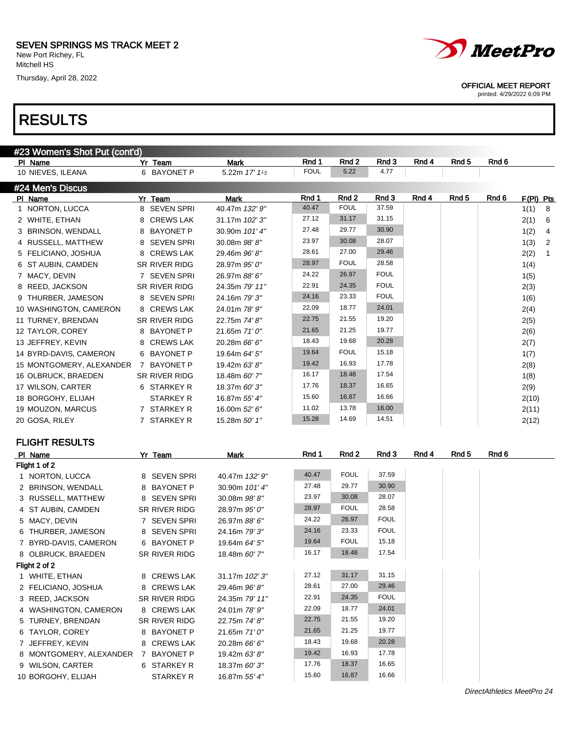Thursday, April 28, 2022





OFFICIAL MEET REPORT

printed: 4/29/2022 6:09 PM

| #23 Women's Shot Put (cont'd) |   |                      |                         |             |             |             |       |                  |       |           |                |
|-------------------------------|---|----------------------|-------------------------|-------------|-------------|-------------|-------|------------------|-------|-----------|----------------|
| PI Name                       |   | Yr Team              | <b>Mark</b>             | Rnd 1       | Rnd 2       | Rnd 3       | Rnd 4 | Rnd <sub>5</sub> | Rnd 6 |           |                |
| 10 NIEVES, ILEANA             |   | 6 BAYONET P          | 5.22m $17'1\frac{1}{2}$ | <b>FOUL</b> | 5.22        | 4.77        |       |                  |       |           |                |
| #24 Men's Discus              |   |                      |                         |             |             |             |       |                  |       |           |                |
| PI Name                       |   | Yr Team              | <b>Mark</b>             | Rnd 1       | Rnd 2       | Rnd 3       | Rnd 4 | Rnd <sub>5</sub> | Rnd 6 | F(PI) Pts |                |
| 1 NORTON, LUCCA               |   | 8 SEVEN SPRI         | 40.47m 132' 9"          | 40.47       | <b>FOUL</b> | 37.59       |       |                  |       | 1(1)      | - 8            |
| 2 WHITE, ETHAN                |   | 8 CREWS LAK          | 31.17m 102' 3"          | 27.12       | 31.17       | 31.15       |       |                  |       | 2(1)      | 6              |
| 3 BRINSON, WENDALL            |   | 8 BAYONET P          | 30.90m 101' 4"          | 27.48       | 29.77       | 30.90       |       |                  |       | 1(2)      | $\overline{4}$ |
| 4 RUSSELL, MATTHEW            |   | 8 SEVEN SPRI         | 30.08m 98'8"            | 23.97       | 30.08       | 28.07       |       |                  |       | 1(3)      | $\overline{2}$ |
| 5 FELICIANO, JOSHUA           |   | 8 CREWS LAK          | 29.46m 96'8"            | 28.61       | 27.00       | 29.46       |       |                  |       | 2(2)      | $\overline{1}$ |
| 6 ST AUBIN, CAMDEN            |   | <b>SR RIVER RIDG</b> | 28.97m 95' 0"           | 28.97       | <b>FOUL</b> | 28.58       |       |                  |       | 1(4)      |                |
| 7 MACY, DEVIN                 |   | 7 SEVEN SPRI         | 26.97m 88' 6"           | 24.22       | 26.97       | <b>FOUL</b> |       |                  |       | 1(5)      |                |
| 8 REED, JACKSON               |   | <b>SR RIVER RIDG</b> | 24.35m 79' 11"          | 22.91       | 24.35       | <b>FOUL</b> |       |                  |       | 2(3)      |                |
| 9 THURBER, JAMESON            |   | 8 SEVEN SPRI         | 24.16m 79' 3"           | 24.16       | 23.33       | <b>FOUL</b> |       |                  |       | 1(6)      |                |
| 10 WASHINGTON, CAMERON        |   | 8 CREWS LAK          | 24.01m 78' 9"           | 22.09       | 18.77       | 24.01       |       |                  |       | 2(4)      |                |
| 11 TURNEY, BRENDAN            |   | <b>SR RIVER RIDG</b> | 22.75m 74' 8"           | 22.75       | 21.55       | 19.20       |       |                  |       | 2(5)      |                |
| 12 TAYLOR, COREY              |   | 8 BAYONET P          | 21.65m 71' 0"           | 21.65       | 21.25       | 19.77       |       |                  |       | 2(6)      |                |
| 13 JEFFREY, KEVIN             | 8 | <b>CREWS LAK</b>     | 20.28m 66' 6"           | 18.43       | 19.68       | 20.28       |       |                  |       | 2(7)      |                |
| 14 BYRD-DAVIS, CAMERON        |   | 6 BAYONET P          | 19.64m 64' 5"           | 19.64       | <b>FOUL</b> | 15.18       |       |                  |       | 1(7)      |                |
| 15 MONTGOMERY, ALEXANDER      | 7 | <b>BAYONET P</b>     | 19.42m 63'8"            | 19.42       | 16.93       | 17.78       |       |                  |       | 2(8)      |                |
| 16 OLBRUCK, BRAEDEN           |   | <b>SR RIVER RIDG</b> | 18.48m 60' 7"           | 16.17       | 18.48       | 17.54       |       |                  |       | 1(8)      |                |
| 17 WILSON, CARTER             |   | 6 STARKEY R          | 18.37m 60'3"            | 17.76       | 18.37       | 16.65       |       |                  |       | 2(9)      |                |
| 18 BORGOHY, ELIJAH            |   | <b>STARKEY R</b>     | 16.87m 55' 4"           | 15.60       | 16.87       | 16.66       |       |                  |       | 2(10)     |                |
| 19 MOUZON, MARCUS             |   | 7 STARKEY R          | 16.00m 52' 6"           | 11.02       | 13.78       | 16.00       |       |                  |       | 2(11)     |                |
| 20 GOSA, RILEY                |   | 7 STARKEY R          | 15.28m 50' 1"           | 15.28       | 14.69       | 14.51       |       |                  |       | 2(12)     |                |

#### FLIGHT RESULTS

| PI Name                 | Yr Team          | Mark           | Rnd 1 | Rnd 2       | Rnd 3       | Rnd 4 | Rnd 5 | Rnd 6 |
|-------------------------|------------------|----------------|-------|-------------|-------------|-------|-------|-------|
| Flight 1 of 2           |                  |                |       |             |             |       |       |       |
| 1 NORTON, LUCCA         | 8 SEVEN SPRI     | 40.47m 132' 9" | 40.47 | <b>FOUL</b> | 37.59       |       |       |       |
| 2 BRINSON, WENDALL      | 8 BAYONET P      | 30.90m 101'4"  | 27.48 | 29.77       | 30.90       |       |       |       |
| 3 RUSSELL, MATTHEW      | 8 SEVEN SPRI     | 30.08m 98'8"   | 23.97 | 30.08       | 28.07       |       |       |       |
| 4 ST AUBIN, CAMDEN      | SR RIVER RIDG    | 28.97m 95' 0"  | 28.97 | <b>FOUL</b> | 28.58       |       |       |       |
| 5 MACY, DEVIN           | 7 SEVEN SPRI     | 26.97m 88' 6"  | 24.22 | 26.97       | <b>FOUL</b> |       |       |       |
| 6 THURBER, JAMESON      | 8 SEVEN SPRI     | 24.16m 79' 3"  | 24.16 | 23.33       | <b>FOUL</b> |       |       |       |
| 7 BYRD-DAVIS, CAMERON   | 6 BAYONET P      | 19.64m 64' 5"  | 19.64 | <b>FOUL</b> | 15.18       |       |       |       |
| 8 OLBRUCK, BRAEDEN      | SR RIVER RIDG    | 18.48m 60' 7"  | 16.17 | 18.48       | 17.54       |       |       |       |
| Flight 2 of 2           |                  |                |       |             |             |       |       |       |
| 1 WHITE, ETHAN          | 8 CREWS LAK      | 31.17m 102' 3" | 27.12 | 31.17       | 31.15       |       |       |       |
| 2 FELICIANO, JOSHUA     | 8 CREWS LAK      | 29.46m 96'8"   | 28.61 | 27.00       | 29.46       |       |       |       |
| 3 REED, JACKSON         | SR RIVER RIDG    | 24.35m 79' 11" | 22.91 | 24.35       | <b>FOUL</b> |       |       |       |
| 4 WASHINGTON, CAMERON   | 8 CREWS LAK      | 24.01m 78' 9"  | 22.09 | 18.77       | 24.01       |       |       |       |
| 5 TURNEY, BRENDAN       | SR RIVER RIDG    | 22.75m 74' 8"  | 22.75 | 21.55       | 19.20       |       |       |       |
| 6 TAYLOR, COREY         | 8 BAYONET P      | 21.65m 71' 0"  | 21.65 | 21.25       | 19.77       |       |       |       |
| 7 JEFFREY, KEVIN        | 8 CREWS LAK      | 20.28m 66' 6"  | 18.43 | 19.68       | 20.28       |       |       |       |
| 8 MONTGOMERY, ALEXANDER | 7 BAYONET P      | 19.42m 63'8"   | 19.42 | 16.93       | 17.78       |       |       |       |
| 9 WILSON, CARTER        | 6 STARKEY R      | 18.37m 60' 3"  | 17.76 | 18.37       | 16.65       |       |       |       |
| 10 BORGOHY, ELIJAH      | <b>STARKEY R</b> | 16.87m 55' 4"  | 15.60 | 16.87       | 16.66       |       |       |       |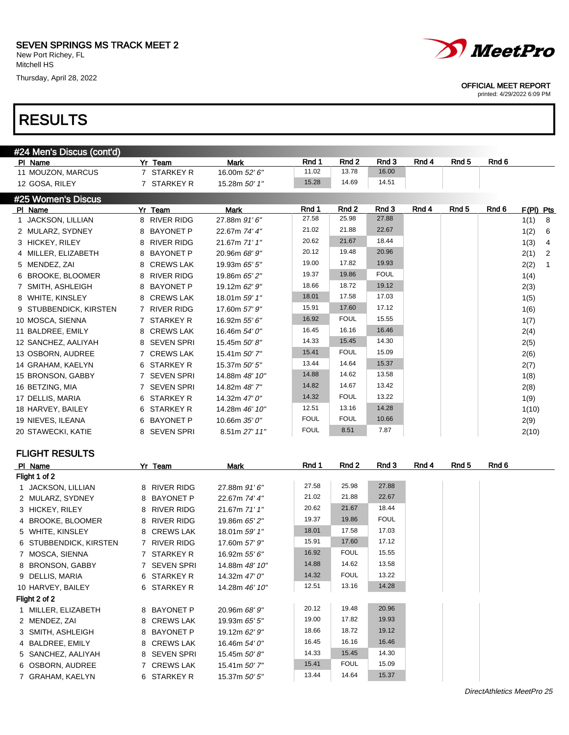Thursday, April 28, 2022





#### OFFICIAL MEET REPORT

| #24 Men's Discus (cont'd) |                        |                |             |                  |             |       |                  |       |                        |
|---------------------------|------------------------|----------------|-------------|------------------|-------------|-------|------------------|-------|------------------------|
| PI Name                   | Yr Team                | <b>Mark</b>    | Rnd 1       | Rnd 2            | Rnd 3       | Rnd 4 | Rnd <sub>5</sub> | Rnd 6 |                        |
| 11 MOUZON, MARCUS         | 7 STARKEY R            | 16.00m 52' 6"  | 11.02       | 13.78            | 16.00       |       |                  |       |                        |
| 12 GOSA, RILEY            | 7 STARKEY R            | 15.28m 50' 1"  | 15.28       | 14.69            | 14.51       |       |                  |       |                        |
| #25 Women's Discus        |                        |                |             |                  |             |       |                  |       |                        |
| PI Name                   | Yr Team                | Mark           | Rnd 1       | Rnd <sub>2</sub> | Rnd 3       | Rnd 4 | Rnd <sub>5</sub> | Rnd 6 | F(PI) Pts              |
| 1 JACKSON, LILLIAN        | 8 RIVER RIDG           | 27.88m 91'6"   | 27.58       | 25.98            | 27.88       |       |                  |       | 1(1)<br>8              |
| 2 MULARZ, SYDNEY          | <b>BAYONET P</b><br>8  | 22.67m 74' 4"  | 21.02       | 21.88            | 22.67       |       |                  |       | 1(2)<br>6              |
| 3 HICKEY, RILEY           | <b>RIVER RIDG</b><br>8 | 21.67m 71' 1"  | 20.62       | 21.67            | 18.44       |       |                  |       | 1(3)<br>4              |
| 4 MILLER, ELIZABETH       | <b>BAYONET P</b><br>8  | 20.96m 68' 9"  | 20.12       | 19.48            | 20.96       |       |                  |       | 2(1)<br>$\overline{2}$ |
| 5 MENDEZ, ZAI             | <b>CREWS LAK</b><br>8  | 19.93m 65' 5"  | 19.00       | 17.82            | 19.93       |       |                  |       | 2(2)<br>$\mathbf{1}$   |
| 6 BROOKE, BLOOMER         | <b>RIVER RIDG</b><br>8 | 19.86m 65' 2"  | 19.37       | 19.86            | <b>FOUL</b> |       |                  |       | 1(4)                   |
| 7 SMITH, ASHLEIGH         | <b>BAYONET P</b><br>8  | 19.12m 62' 9"  | 18.66       | 18.72            | 19.12       |       |                  |       | 2(3)                   |
| 8 WHITE, KINSLEY          | 8 CREWS LAK            | 18.01m 59' 1"  | 18.01       | 17.58            | 17.03       |       |                  |       | 1(5)                   |
| 9 STUBBENDICK, KIRSTEN    | 7 RIVER RIDG           | 17.60m 57' 9"  | 15.91       | 17.60            | 17.12       |       |                  |       | 1(6)                   |
| 10 MOSCA, SIENNA          | 7 STARKEY R            | 16.92m 55' 6"  | 16.92       | <b>FOUL</b>      | 15.55       |       |                  |       | 1(7)                   |
| 11 BALDREE, EMILY         | <b>CREWS LAK</b><br>8  | 16.46m 54' 0"  | 16.45       | 16.16            | 16.46       |       |                  |       | 2(4)                   |
| 12 SANCHEZ, AALIYAH       | SEVEN SPRI<br>8        | 15.45m 50' 8"  | 14.33       | 15.45            | 14.30       |       |                  |       | 2(5)                   |
| 13 OSBORN, AUDREE         | 7 CREWS LAK            | 15.41m 50' 7"  | 15.41       | <b>FOUL</b>      | 15.09       |       |                  |       | 2(6)                   |
| 14 GRAHAM, KAELYN         | 6 STARKEY R            | 15.37m 50' 5"  | 13.44       | 14.64            | 15.37       |       |                  |       | 2(7)                   |
| 15 BRONSON, GABBY         | 7 SEVEN SPRI           | 14.88m 48' 10" | 14.88       | 14.62            | 13.58       |       |                  |       | 1(8)                   |
| 16 BETZING, MIA           | 7 SEVEN SPRI           | 14.82m 48'7"   | 14.82       | 14.67            | 13.42       |       |                  |       | 2(8)                   |
| 17 DELLIS, MARIA          | 6 STARKEY R            | 14.32m 47' 0"  | 14.32       | <b>FOUL</b>      | 13.22       |       |                  |       | 1(9)                   |
| 18 HARVEY, BAILEY         | 6 STARKEY R            | 14.28m 46' 10" | 12.51       | 13.16            | 14.28       |       |                  |       | 1(10)                  |
| 19 NIEVES, ILEANA         | 6 BAYONET P            | 10.66m 35' 0"  | <b>FOUL</b> | <b>FOUL</b>      | 10.66       |       |                  |       | 2(9)                   |
| 20 STAWECKI, KATIE        | 8 SEVEN SPRI           | 8.51m 27' 11"  | <b>FOUL</b> | 8.51             | 7.87        |       |                  |       | 2(10)                  |
|                           |                        |                |             |                  |             |       |                  |       |                        |
| <b>FLIGHT RESULTS</b>     |                        |                |             |                  |             |       |                  |       |                        |
| PI Name                   | Yr Team                | <b>Mark</b>    | Rnd 1       | Rnd 2            | Rnd 3       | Rnd 4 | Rnd <sub>5</sub> | Rnd 6 |                        |
| Flight 1 of 2             |                        |                |             |                  |             |       |                  |       |                        |
| 1 JACKSON, LILLIAN        | 8 RIVER RIDG           | 27.88m 91'6"   | 27.58       | 25.98            | 27.88       |       |                  |       |                        |
| 2 MULARZ, SYDNEY          | 8 BAYONET P            | 22.67m 74' 4"  | 21.02       | 21.88            | 22.67       |       |                  |       |                        |
| 3 HICKEY, RILEY           | 8 RIVER RIDG           | 21.67m 71' 1"  | 20.62       | 21.67            | 18.44       |       |                  |       |                        |
| 4 BROOKE, BLOOMER         | 8 RIVER RIDG           | 19.86m 65' 2"  | 19.37       | 19.86            | <b>FOUL</b> |       |                  |       |                        |
| 5 WHITE, KINSLEY          | 8 CREWS LAK            | 18.01m 59' 1"  | 18.01       | 17.58            | 17.03       |       |                  |       |                        |
| 6 STUBBENDICK, KIRSTEN    | 7 RIVER RIDG           | 17.60m 57' 9"  | 15.91       | 17.60            | 17.12       |       |                  |       |                        |

| <b>STUDDENDIGN.</b> MINJTEN | טשות תשירות  | 17. VUIII <i>UT</i> |       |             |       |
|-----------------------------|--------------|---------------------|-------|-------------|-------|
| 7 MOSCA, SIENNA             | 7 STARKEY R  | 16.92m 55' 6"       | 16.92 | <b>FOUL</b> | 15.55 |
| 8 BRONSON, GABBY            | 7 SEVEN SPRI | 14.88m 48' 10"      | 14.88 | 14.62       | 13.58 |
| 9 DELLIS, MARIA             | 6 STARKEY R  | 14.32m 47' 0"       | 14.32 | <b>FOUL</b> | 13.22 |
| 10 HARVEY, BAILEY           | 6 STARKEY R  | 14.28m 46' 10"      | 12.51 | 13.16       | 14.28 |
| Flight 2 of 2               |              |                     |       |             |       |
| MILLER. ELIZABETH           | 8 BAYONET P  | 20.96m 68' 9"       | 20.12 | 19.48       | 20.96 |
| 2 MENDEZ, ZAI               | 8 CREWS LAK  | 19.93m 65' 5"       | 19.00 | 17.82       | 19.93 |
| 3 SMITH, ASHLEIGH           | 8 BAYONET P  | 19.12m 62' 9"       | 18.66 | 18.72       | 19.12 |
| 4 BALDREE, EMILY            | 8 CREWS LAK  | 16.46m 54' 0"       | 16.45 | 16.16       | 16.46 |
| 5 SANCHEZ, AALIYAH          | 8 SEVEN SPRI | 15.45m 50'8"        | 14.33 | 15.45       | 14.30 |
| 6 OSBORN, AUDREE            | 7 CREWS LAK  | 15.41m 50' 7"       | 15.41 | <b>FOUL</b> | 15.09 |
| GRAHAM. KAELYN              | 6 STARKEY R  | 15.37m 50' 5"       | 13.44 | 14.64       | 15.37 |
|                             |              |                     |       |             |       |